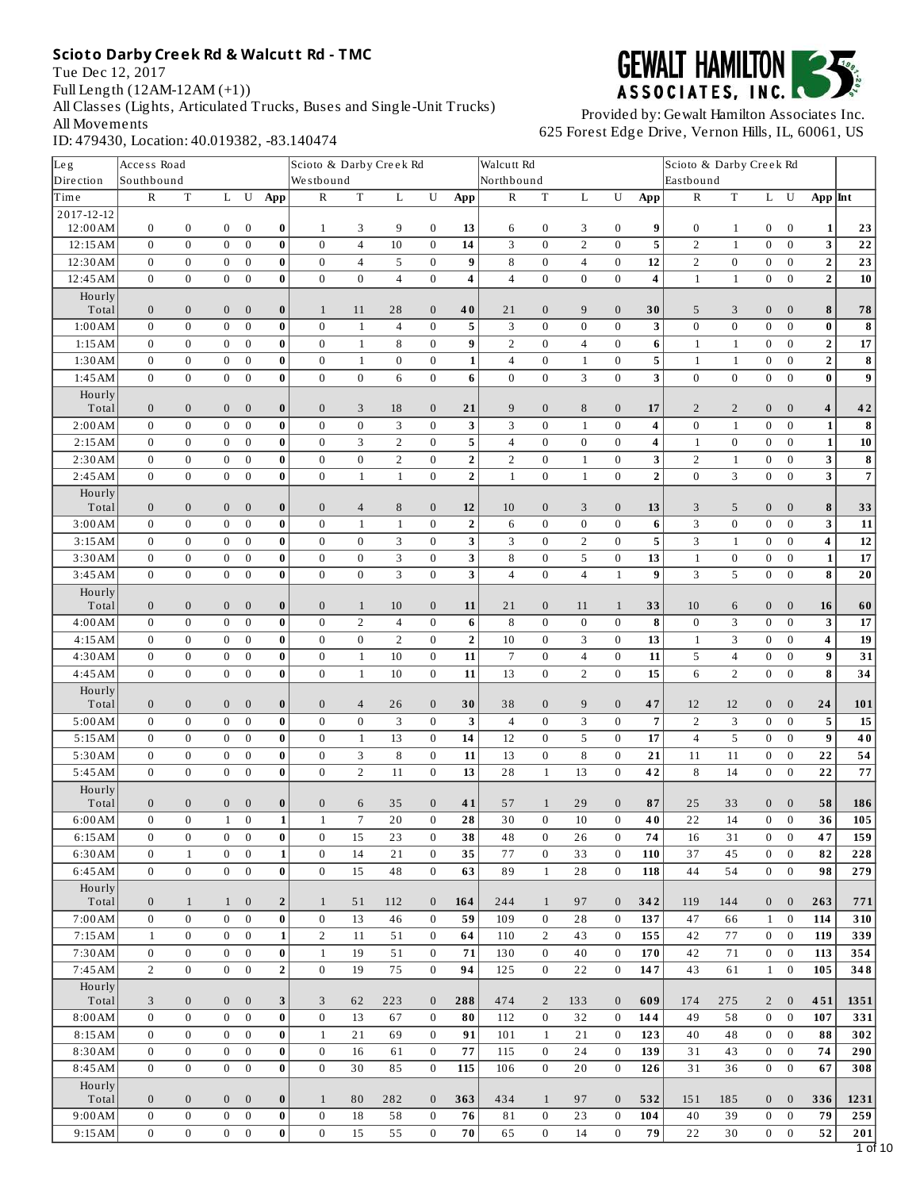Tue Dec 12, 2017 Full Length (12AM-12AM (+1)) All Classes (Lights, Articulated Trucks, Buses and Single-Unit Trucks) All Movements ID: 479430, Location: 40.019382, -83.140474



| Leg                   | Access Road                  |                                      |                                    |                              |                  | Scioto & Darby Creek Rd |                     |                  |                              |                         | Walcutt Rd     |                                  |                     |                          |                          | Scioto & Darby Creek Rd            |                              |                          |                              |                         |                          |
|-----------------------|------------------------------|--------------------------------------|------------------------------------|------------------------------|------------------|-------------------------|---------------------|------------------|------------------------------|-------------------------|----------------|----------------------------------|---------------------|--------------------------|--------------------------|------------------------------------|------------------------------|--------------------------|------------------------------|-------------------------|--------------------------|
| Direction             | Southbound                   |                                      |                                    |                              |                  | Westbound               |                     |                  |                              |                         | Northbound     |                                  |                     |                          |                          | Eastbound                          |                              |                          |                              |                         |                          |
| Time                  | ${\bf R}$                    | $\mathbf T$                          | L                                  | U                            | App              | ${\bf R}$               | $\mathbf T$         | $\mathbf L$      | ${\bf U}$                    | App                     | ${\bf R}$      | $\mathbf T$                      | $\mathbf L$         | U                        | App                      | ${\bf R}$                          | $\mathbf T$                  | $\mathbf L$              | ${\bf U}$                    | $App$ Int               |                          |
| 2017-12-12<br>12:00AM |                              |                                      |                                    |                              |                  |                         |                     |                  |                              |                         |                |                                  |                     |                          |                          |                                    |                              |                          |                              |                         |                          |
| 12:15AM               | $\bf{0}$<br>$\mathbf{0}$     | $\boldsymbol{0}$<br>$\boldsymbol{0}$ | $\boldsymbol{0}$<br>$\overline{0}$ | $\bf{0}$<br>$\bf{0}$         | 0<br>$\bf{0}$    | 1<br>$\bf{0}$           | 3<br>$\overline{4}$ | 9<br>10          | $\bf{0}$<br>$\bf{0}$         | 13<br>14                | 6<br>3         | $\boldsymbol{0}$<br>$\mathbf{0}$ | 3<br>$\overline{2}$ | $\bf{0}$<br>$\mathbf{0}$ | 9<br>5                   | $\boldsymbol{0}$<br>$\overline{2}$ | $\mathbf{1}$<br>$\mathbf{1}$ | 0<br>$\boldsymbol{0}$    | $\boldsymbol{0}$<br>$\bf{0}$ | 1<br>3                  | 23<br>${\bf 22}$         |
| 12:30 AM              | $\mathbf{0}$                 | $\boldsymbol{0}$                     | $\boldsymbol{0}$                   | $\boldsymbol{0}$             | 0                | $\mathbf{0}$            | $\overline{4}$      | 5                | $\boldsymbol{0}$             | $\boldsymbol{9}$        | 8              | $\boldsymbol{0}$                 | $\overline{4}$      | $\boldsymbol{0}$         | 12                       | $\sqrt{2}$                         | $\boldsymbol{0}$             | $\boldsymbol{0}$         | $\boldsymbol{0}$             | $\overline{2}$          | 23                       |
| 12:45AM               | $\mathbf{0}$                 | $\boldsymbol{0}$                     | $\boldsymbol{0}$                   | $\bf{0}$                     | 0                | $\bf{0}$                | $\bf{0}$            | $\overline{4}$   | $\mathbf{0}$                 | $\overline{\mathbf{4}}$ | $\overline{4}$ | $\bf{0}$                         | $\bf{0}$            | $\mathbf{0}$             | 4                        | $\mathbf{1}$                       | $\mathbf{1}$                 | $\mathbf{0}$             | $\bf{0}$                     | $\mathbf 2$             | 10                       |
| Hourly                |                              |                                      |                                    |                              |                  |                         |                     |                  |                              |                         |                |                                  |                     |                          |                          |                                    |                              |                          |                              |                         |                          |
| Total                 | $\mathbf{0}$                 | $\boldsymbol{0}$                     | $\bf{0}$                           | $\boldsymbol{0}$             | 0                | $\mathbf{1}$            | 11                  | 28               | $\mathbf{0}$                 | 40                      | 21             | $\mathbf{0}$                     | 9                   | $\mathbf{0}$             | 30                       | 5                                  | 3                            | $\mathbf{0}$             | $\mathbf{0}$                 | 8                       | 78                       |
| 1:00AM                | $\mathbf 0$                  | $\boldsymbol{0}$                     | $\overline{0}$                     | $\bf{0}$                     | $\bf{0}$         | $\bf{0}$                | $1\,$               | $\overline{4}$   | $\bf{0}$                     | 5                       | 3              | $\bf{0}$                         | $\boldsymbol{0}$    | $\mathbf{0}$             | 3                        | $\boldsymbol{0}$                   | $\boldsymbol{0}$             | $\boldsymbol{0}$         | $\bf{0}$                     | $\pmb{0}$               | 8                        |
| 1:15AM                | $\mathbf{0}$                 | $\boldsymbol{0}$                     | $\boldsymbol{0}$                   | $\bf{0}$                     | $\bf{0}$         | $\mathbf{0}$            | $\mathbf{1}$        | 8                | $\mathbf{0}$                 | 9                       | $\overline{2}$ | $\mathbf{0}$                     | $\overline{4}$      | $\bf{0}$                 | 6                        | $1\,$                              | $\mathbf{1}$                 | $\mathbf{0}$             | $\bf{0}$                     | $\mathbf 2$             | ${\bf 17}$               |
| 1:30 AM               | $\mathbf 0$                  | $\boldsymbol{0}$                     | $\boldsymbol{0}$                   | $\boldsymbol{0}$             | 0                | $\bf{0}$                | $\,1\,$             | $\boldsymbol{0}$ | $\boldsymbol{0}$             | $1\vert$                | $\overline{4}$ | $\boldsymbol{0}$                 | $\,1\,$             | $\boldsymbol{0}$         | 5                        | $\,1\,$                            | $1\,$                        | $\boldsymbol{0}$         | $\boldsymbol{0}$             | $\mathbf 2$             | $\overline{\mathbf{8}}$  |
| 1:45 AM               | $\mathbf{0}$                 | $\boldsymbol{0}$                     | $\boldsymbol{0}$                   | $\boldsymbol{0}$             | $\bf{0}$         | $\mathbf{0}$            | $\mathbf{0}$        | 6                | $\mathbf{0}$                 | 6                       | $\mathbf{0}$   | $\mathbf{0}$                     | 3                   | $\mathbf{0}$             | 3                        | $\mathbf{0}$                       | $\boldsymbol{0}$             | $\mathbf{0}$             | $\mathbf{0}$                 | $\bf{0}$                | $\overline{9}$           |
| Hourly                |                              |                                      |                                    |                              |                  |                         |                     |                  |                              |                         |                |                                  |                     |                          |                          |                                    |                              |                          |                              |                         |                          |
| Total                 | $\mathbf{0}$                 | $\boldsymbol{0}$                     | $\boldsymbol{0}$                   | $\boldsymbol{0}$             | $\bf{0}$         | $\mathbf{0}$            | 3                   | 18               | $\mathbf{0}$                 | 21                      | 9              | $\mathbf{0}$                     | $\, 8$              | $\bf{0}$                 | 17                       | $\overline{2}$                     | 2                            | $\bf{0}$                 | $\boldsymbol{0}$             | 4                       | 42                       |
| 2:00AM                | $\bf{0}$                     | $\boldsymbol{0}$                     | $\boldsymbol{0}$                   | $\bf{0}$                     | $\bf{0}$         | $\bf{0}$                | $\boldsymbol{0}$    | 3                | $\boldsymbol{0}$             | $\mathbf{3}$            | 3              | $\bf{0}$                         | $\mathbf{1}$        | $\mathbf{0}$             | $\overline{\mathbf{4}}$  | $\boldsymbol{0}$                   | $\mathbf{1}$                 | $\boldsymbol{0}$         | $\bf{0}$                     | $\mathbf 1$             | 8                        |
| 2:15AM                | $\mathbf{0}$                 | $\boldsymbol{0}$                     | $\boldsymbol{0}$                   | $\bf{0}$                     | 0                | $\bf{0}$                | 3                   | $\overline{2}$   | $\bf{0}$                     | 5                       | 4              | $\bf{0}$                         | $\bf{0}$            | $\bf{0}$                 | 4                        | $1\,$                              | $\boldsymbol{0}$             | $\bf{0}$                 | $\bf{0}$                     | $\mathbf{1}$            | ${\bf 10}$               |
| 2:30AM                | $\bf{0}$                     | $\boldsymbol{0}$                     | $\boldsymbol{0}$                   | $\boldsymbol{0}$             | 0                | $\bf{0}$                | $\bf{0}$            | $\overline{2}$   | $\bf{0}$                     | $\overline{\mathbf{2}}$ | 2              | $\bf{0}$                         | $\mathbf{1}$        | $\bf{0}$                 | 3                        | $\overline{2}$                     | $\mathbf{1}$                 | $\bf{0}$                 | $\bf{0}$                     | 3                       | $\pmb{8}$                |
| 2:45AM                | $\mathbf{0}$                 | $\boldsymbol{0}$                     | $\boldsymbol{0}$                   | $\bf{0}$                     | $\bf{0}$         | $\bf{0}$                | $\mathbf{1}$        | $\mathbf{1}$     | $\mathbf{0}$                 | $\overline{2}$          | $1\,$          | $\bf{0}$                         | $\mathbf{1}$        | $\mathbf{0}$             | $\overline{2}$           | $\mathbf{0}$                       | 3                            | $\boldsymbol{0}$         | $\boldsymbol{0}$             | 3                       | $\overline{7}$           |
| Hourly<br>Total       | $\boldsymbol{0}$             | $\boldsymbol{0}$                     | $\boldsymbol{0}$                   | $\boldsymbol{0}$             | $\boldsymbol{0}$ | $\boldsymbol{0}$        | $\overline{4}$      | 8                | $\boldsymbol{0}$             | 12                      | 10             | $\boldsymbol{0}$                 | 3                   | $\boldsymbol{0}$         | 13                       | 3                                  | 5                            | $\boldsymbol{0}$         | $\boldsymbol{0}$             | 8                       | 33                       |
| 3:00AM                | $\mathbf{0}$                 | $\boldsymbol{0}$                     | $\boldsymbol{0}$                   | $\mathbf{0}$                 | $\bf{0}$         | $\boldsymbol{0}$        | $\mathbf{1}$        | $\mathbf{1}$     | $\bf{0}$                     | $\mathbf 2$             | 6              | $\bf{0}$                         | $\boldsymbol{0}$    | $\boldsymbol{0}$         | 6                        | 3                                  | $\boldsymbol{0}$             | $\boldsymbol{0}$         | $\bf{0}$                     | 3                       | 11                       |
| 3:15AM                | $\mathbf{0}$                 | $\boldsymbol{0}$                     | $\boldsymbol{0}$                   | $\boldsymbol{0}$             | 0                | $\bf{0}$                | $\bf{0}$            | 3                | $\mathbf{0}$                 | $\mathbf{3}$            | 3              | $\mathbf{0}$                     | $\overline{2}$      | $\mathbf{0}$             | 5                        | 3                                  | $\,1\,$                      | $\boldsymbol{0}$         | $\boldsymbol{0}$             | $\pmb{4}$               | $12\,$                   |
| 3:30AM                | $\bf{0}$                     | $\boldsymbol{0}$                     | $\boldsymbol{0}$                   | $\boldsymbol{0}$             | 0                | $\bf{0}$                | $\boldsymbol{0}$    | 3                | $\bf{0}$                     | $\mathbf{3}$            | 8              | $\bf{0}$                         | 5                   | $\boldsymbol{0}$         | 13                       | $1\,$                              | $\boldsymbol{0}$             | $\boldsymbol{0}$         | $\bf{0}$                     | $\mathbf 1$             | $\bf 17$                 |
| 3:45AM                | $\mathbf{0}$                 | $\boldsymbol{0}$                     | $\overline{0}$                     | $\mathbf{0}$                 | $\bf{0}$         | $\mathbf{0}$            | $\boldsymbol{0}$    | 3                | $\overline{0}$               | 3                       | $\overline{4}$ | $\mathbf{0}$                     | $\overline{4}$      | $\mathbf{1}$             | 9                        | 3                                  | 5                            | $\mathbf{0}$             | $\boldsymbol{0}$             | 8                       | ${\bf 20}$               |
| Hourly                |                              |                                      |                                    |                              |                  |                         |                     |                  |                              |                         |                |                                  |                     |                          |                          |                                    |                              |                          |                              |                         |                          |
| Total                 | $\mathbf{0}$                 | $\boldsymbol{0}$                     | $\bf{0}$                           | $\bf{0}$                     | $\bf{0}$         | $\mathbf{0}$            | $\mathbf{1}$        | 10               | $\mathbf{0}$                 | 11                      | 21             | $\mathbf{0}$                     | 11                  | $\mathbf{1}$             | 33                       | 10                                 | 6                            | $\bf{0}$                 | $\boldsymbol{0}$             | 16                      | 60                       |
| 4:00AM                | $\mathbf{0}$                 | $\boldsymbol{0}$                     | $\boldsymbol{0}$                   | $\bf{0}$                     | $\bf{0}$         | $\bf{0}$                | $\overline{2}$      | $\overline{4}$   | $\bf{0}$                     | $6\phantom{1}$          | 8              | $\bf{0}$                         | $\bf{0}$            | $\boldsymbol{0}$         | 8                        | $\boldsymbol{0}$                   | 3                            | $\boldsymbol{0}$         | $\mathbf{0}$                 | 3                       | ${\bf 17}$               |
| 4:15AM                | $\bf{0}$                     | $\bf{0}$                             | $\boldsymbol{0}$                   | $\boldsymbol{0}$             | $\bf{0}$         | $\bf{0}$                | $\bf{0}$            | $\overline{2}$   | $\bf{0}$                     | $\overline{2}$          | 10             | $\bf{0}$                         | 3                   | $\bf{0}$                 | 13                       | $1\,$                              | 3                            | $\bf{0}$                 | $\bf{0}$                     | 4                       | ${\bf 19}$               |
| 4:30AM                | $\mathbf{0}$                 | $\boldsymbol{0}$                     | $\boldsymbol{0}$                   | $\bf{0}$                     | $\bf{0}$         | $\bf{0}$                | $\mathbf{1}$        | 10               | $\mathbf{0}$                 | 11                      | $\overline{7}$ | $\bf{0}$                         | $\overline{4}$      | $\bf{0}$                 | 11                       | 5                                  | $\overline{\mathbf{4}}$      | $\bf{0}$                 | $\boldsymbol{0}$             | $\boldsymbol{9}$        | 31                       |
| 4:45AM                | $\mathbf{0}$                 | $\boldsymbol{0}$                     | $\mathbf{0}$                       | $\bf{0}$                     | 0                | $\bf{0}$                | $1\,$               | 10               | $\boldsymbol{0}$             | 11                      | 13             | $\bf{0}$                         | $\overline{2}$      | $\boldsymbol{0}$         | 15                       | 6                                  | $\overline{2}$               | $\bf{0}$                 | $\boldsymbol{0}$             | 8                       | $\bf{34}$                |
| Hourly<br>Total       | $\mathbf{0}$                 | $\boldsymbol{0}$                     | $\bf{0}$                           | $\boldsymbol{0}$             | $\bf{0}$         | $\mathbf{0}$            | $\overline{4}$      | 26               | $\boldsymbol{0}$             | 30                      | 38             | $\mathbf{0}$                     | 9                   | $\boldsymbol{0}$         | 47                       | 12                                 | 12                           | $\bf{0}$                 | $\boldsymbol{0}$             | 24                      | 101                      |
| 5:00AM                | $\mathbf{0}$                 | $\boldsymbol{0}$                     | $\boldsymbol{0}$                   | $\boldsymbol{0}$             | $\bf{0}$         | $\bf{0}$                | $\boldsymbol{0}$    | 3                | $\mathbf{0}$                 | 3                       | $\overline{4}$ | $\mathbf{0}$                     | 3                   | $\mathbf{0}$             | $\overline{\phantom{a}}$ | $\overline{2}$                     | 3                            | $\boldsymbol{0}$         | $\boldsymbol{0}$             | $\overline{\mathbf{5}}$ | 15                       |
| 5:15AM                | $\bf{0}$                     | $\boldsymbol{0}$                     | $\boldsymbol{0}$                   | $\bf{0}$                     | 0                | $\bf{0}$                | $\mathbf{1}$        | 13               | $\bf{0}$                     | 14                      | 12             | $\bf{0}$                         | 5                   | $\bf{0}$                 | 17                       | $\overline{4}$                     | 5                            | $\bf{0}$                 | $\boldsymbol{0}$             | $\boldsymbol{9}$        | $\bf 40$                 |
| 5:30AM                | $\mathbf{0}$                 | $\boldsymbol{0}$                     | $\boldsymbol{0}$                   | $\bf{0}$                     | 0                | $\bf{0}$                | 3                   | 8                | $\boldsymbol{0}$             | 11                      | 13             | $\boldsymbol{0}$                 | $\, 8$              | $\boldsymbol{0}$         | 21                       | 11                                 | 11                           | $\boldsymbol{0}$         | $\boldsymbol{0}$             | 22                      | 54                       |
| 5:45AM                | $\mathbf{0}$                 | $\boldsymbol{0}$                     | $\mathbf{0}$                       | $\bf{0}$                     | 0                | $\bf{0}$                | $\overline{2}$      | 11               | $\mathbf{0}$                 | 13                      | 28             | $\mathbf{1}$                     | 13                  | $\boldsymbol{0}$         | 42                       | 8                                  | 14                           | $\mathbf{0}$             | $\bf{0}$                     | 22                      | ${\bf 77}$               |
| Hourly                |                              |                                      |                                    |                              |                  |                         |                     |                  |                              |                         |                |                                  |                     |                          |                          |                                    |                              |                          |                              |                         |                          |
| Total                 | $\mathbf{0}$                 | $\boldsymbol{0}$                     | $\boldsymbol{0}$                   | $\mathbf{0}$                 | $\bf{0}$         | $\boldsymbol{0}$        | $\,6\,$             | 35               | $\boldsymbol{0}$             | 41                      | 57             | $\mathbf{1}$                     | 29                  | $\boldsymbol{0}$         | 87                       | 25                                 | 33                           | $\boldsymbol{0}$         | $\mathbf{0}$                 | 58                      | 186                      |
| 6:00AM                | $\bf{0}$                     | $\boldsymbol{0}$                     | $\mathbf{1}$                       | $\bf{0}$                     | $\mathbf{1}$     | $\mathbf{1}$            | $\boldsymbol{7}$    | 20               | $\mathbf{0}$                 | 28                      | 30             | $\boldsymbol{0}$                 | 10                  | $\mathbf{0}$             | 40                       | 22                                 | 14                           | $\mathbf{0}$             | $\mathbf{0}$                 | 36                      | 105                      |
| 6:15AM                | 0                            | 0                                    | $\boldsymbol{0}$                   | $\bf{0}$                     | 0                | $\bf{0}$                | 15                  | 23               | $\bf{0}$                     | 38                      | 48             | $\bf{0}$                         | 26                  | $\bf{0}$                 | 74                       | 16                                 | 31                           | $\boldsymbol{0}$         | $\bf{0}$                     | 47                      | 159                      |
| 6:30AM                | $\mathbf{0}$                 | $1\,$                                | $\overline{0}$                     | $\mathbf{0}$                 | $1\vert$         | $\mathbf{0}$            | 14                  | 21               | $\mathbf{0}$                 | 35                      | 77             | $\bf{0}$                         | 33                  | $\boldsymbol{0}$         | 110                      | 37                                 | 45                           | $\boldsymbol{0}$         | $\bf{0}$                     | 82                      | 228                      |
| 6:45AM                | $\mathbf{0}$                 | $\boldsymbol{0}$                     | $\overline{0}$                     | $\mathbf{0}$                 | 0                | $\mathbf{0}$            | 15                  | 48               | $\mathbf{0}$                 | 63                      | 89             | $\mathbf{1}$                     | 28                  | $\bf{0}$                 | 118                      | 44                                 | 54                           | $\mathbf{0}$             | $\boldsymbol{0}$             | 98                      | 279                      |
| Hourly                |                              |                                      |                                    |                              |                  |                         |                     |                  |                              |                         |                |                                  |                     |                          |                          |                                    |                              |                          |                              |                         |                          |
| Total                 | $\bf{0}$                     | 1                                    | $\mathbf{1}$                       | $\bf{0}$                     | $\overline{2}$   | $\mathbf{1}$            | 51                  | 112              | $\mathbf{0}$                 | 164                     | 244            | $\mathbf{1}$                     | 97                  | $\mathbf{0}$             | 342                      | 119                                | 144                          | $\mathbf{0}$             | $\mathbf{0}$                 | 263                     | 771                      |
| 7:00AM<br>7:15 AM     | $\mathbf{0}$<br>$\mathbf{1}$ | $\boldsymbol{0}$<br>$\boldsymbol{0}$ | $\overline{0}$                     | $\mathbf{0}$<br>$\mathbf{0}$ | $\bf{0}$         | $\mathbf{0}$<br>2       | 13                  | 46               | $\bf{0}$                     | 59                      | 109            | $\bf{0}$<br>$\overline{2}$       | 28                  | $\bf{0}$                 | 137                      | 47                                 | 66<br>77                     | $\mathbf{1}$             | $\bf{0}$<br>$\bf{0}$         | 114                     | 310                      |
| 7:30AM                | $\mathbf{0}$                 | $\boldsymbol{0}$                     | $\mathbf{0}$<br>$\mathbf{0}$       | $\bf{0}$                     | $1\vert$<br>0    | $\mathbf{1}$            | 11<br>19            | 51               | $\boldsymbol{0}$<br>$\bf{0}$ | 64<br>71                | 110<br>130     | $\bf{0}$                         | 43<br>40            | $\bf{0}$<br>$\bf{0}$     | 155<br>170               | 42<br>42                           | 71                           | $\mathbf{0}$<br>$\bf{0}$ | $\bf{0}$                     | 119<br>113              | 339<br>354               |
| 7:45AM                | $\overline{2}$               | $\boldsymbol{0}$                     | $\mathbf{0}$                       | $\bf{0}$                     | $\overline{2}$   | $\mathbf{0}$            | 19                  | 51<br>75         | $\mathbf{0}$                 | 94                      | 125            | $\bf{0}$                         | 22                  | $\bf{0}$                 | 147                      | 43                                 | 61                           | $\mathbf{1}$             | $\bf{0}$                     | 105                     | 348                      |
| Hourly                |                              |                                      |                                    |                              |                  |                         |                     |                  |                              |                         |                |                                  |                     |                          |                          |                                    |                              |                          |                              |                         |                          |
| Total                 | 3                            | $\boldsymbol{0}$                     | $\mathbf{0}$                       | $\boldsymbol{0}$             | 3                | 3                       | 62                  | 223              | $\bf{0}$                     | 288                     | 474            | $\overline{2}$                   | 133                 | $\mathbf{0}$             | 609                      | 174                                | 275                          | 2                        | $\mathbf{0}$                 | 451                     | 1351                     |
| 8:00AM                | $\mathbf{0}$                 | $\boldsymbol{0}$                     | $\boldsymbol{0}$                   | $\bf{0}$                     | $\bf{0}$         | $\mathbf{0}$            | 13                  | 67               | $\bf{0}$                     | 80                      | 112            | $\bf{0}$                         | 32                  | $\bf{0}$                 | 144                      | 49                                 | 58                           | $\mathbf{0}$             | $\bf{0}$                     | 107                     | 331                      |
| 8:15AM                | $\bf{0}$                     | $\bf{0}$                             | $\mathbf{0}$                       | $\bf{0}$                     | $\bf{0}$         | $\mathbf{1}$            | 21                  | 69               | $\bf{0}$                     | 91                      | 101            | $\mathbf{1}$                     | 21                  | $\bf{0}$                 | 123                      | 40                                 | 48                           | $\bf{0}$                 | $\bf{0}$                     | 88                      | 302                      |
| 8:30AM                | $\mathbf{0}$                 | $\bf{0}$                             | $\mathbf{0}$                       | $\mathbf{0}$                 | 0                | $\mathbf{0}$            | 16                  | 61               | $\mathbf{0}$                 | 77                      | 115            | $\bf{0}$                         | 24                  | $\bf{0}$                 | 139                      | 31                                 | 43                           | $\bf{0}$                 | $\bf{0}$                     | 74                      | 290                      |
| 8:45AM                | $\mathbf{0}$                 | $\bf{0}$                             | $\overline{0}$                     | $\bf{0}$                     | 0                | $\bf{0}$                | 30                  | 85               | $\mathbf{0}$                 | 115                     | 106            | $\bf{0}$                         | 20                  | $\bf{0}$                 | 126                      | 31                                 | 36                           | $\mathbf{0}$             | $\bf{0}$                     | 67                      | 308                      |
| Hourly                |                              |                                      |                                    |                              |                  |                         |                     |                  |                              |                         |                |                                  |                     |                          |                          |                                    |                              |                          |                              |                         |                          |
| Total                 | $\mathbf{0}$                 | $\boldsymbol{0}$                     | $\mathbf{0}$                       | $\bf{0}$                     | $\bf{0}$         | $\mathbf{1}$            | 80                  | 282              | $\mathbf{0}$                 | 363                     | 434            | $\mathbf{1}$                     | 97                  | $\mathbf{0}$             | 532                      | 151                                | 185                          | $\overline{0}$           | $\bf{0}$                     | 336                     | 1231                     |
| 9:00AM                | $\mathbf{0}$                 | $\boldsymbol{0}$                     | $\overline{0}$                     | $\mathbf{0}$                 | $\bf{0}$         | $\boldsymbol{0}$        | 18                  | 58               | $\bf{0}$                     | 76                      | 81             | $\bf{0}$                         | 23                  | $\bf{0}$                 | 104                      | 40                                 | 39                           | $\boldsymbol{0}$         | $\bf{0}$                     | 79                      | 259                      |
| 9:15AM                | $\mathbf{0}$                 | $\boldsymbol{0}$                     | $\mathbf{0}$                       | $\bf{0}$                     | 0                | $\bf{0}$                | 15                  | 55               | $\mathbf{0}$                 | 70                      | 65             | $\bf{0}$                         | 14                  | $\bf{0}$                 | 79                       | 22                                 | 30                           | $\overline{0}$           | $\bf{0}$                     | 52                      | 201<br>$\overline{1}$ of |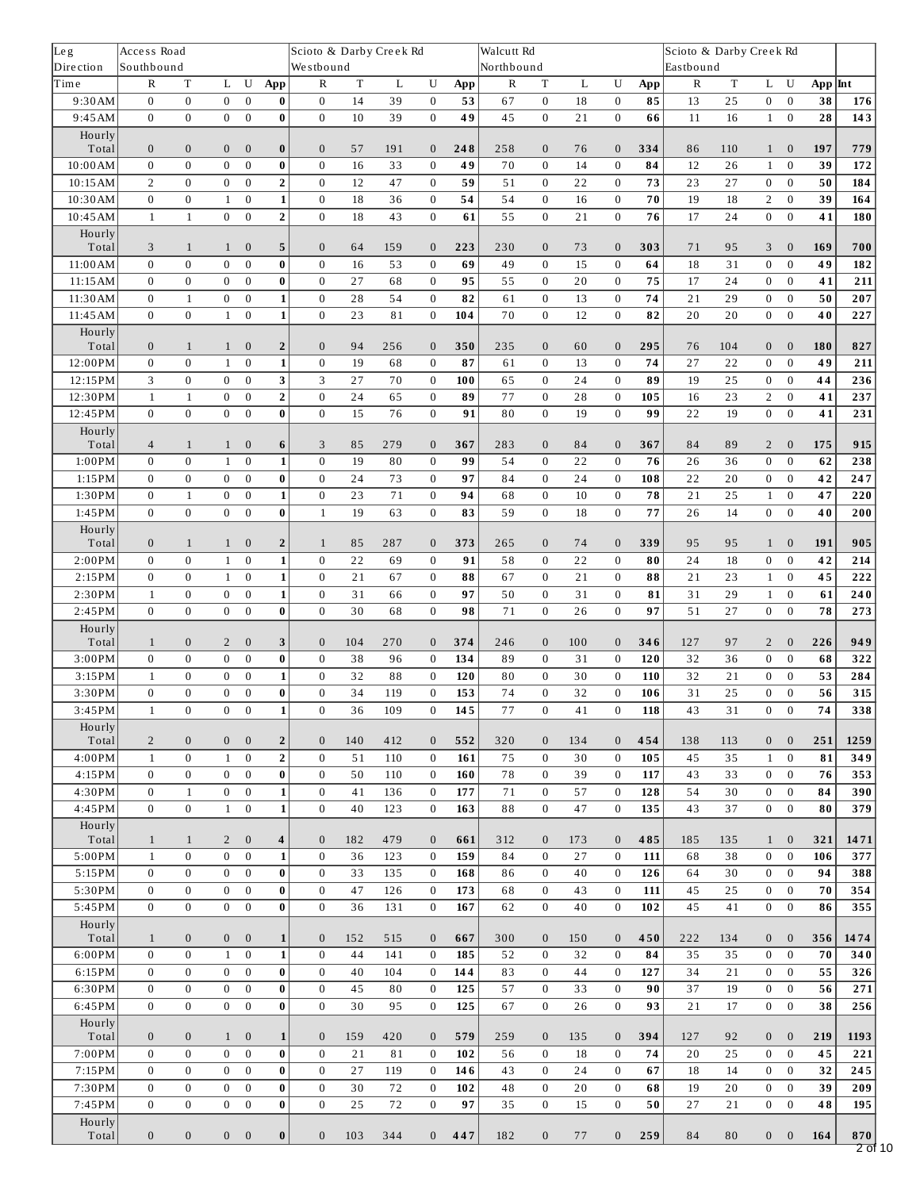| Leg               | Access Road                  |                                  |                          |                              |                         | Scioto & Darby Creek Rd          |             |           |                              |            | Walcutt Rd        |                              |          |                          |           | Scioto & Darby Creek Rd |          |                              |                          |                 |                  |
|-------------------|------------------------------|----------------------------------|--------------------------|------------------------------|-------------------------|----------------------------------|-------------|-----------|------------------------------|------------|-------------------|------------------------------|----------|--------------------------|-----------|-------------------------|----------|------------------------------|--------------------------|-----------------|------------------|
| Dire ction        | Southbound<br>$\mathbb R$    |                                  |                          | ${\bf U}$                    |                         | Westbound                        | $\mathbf T$ |           | U                            |            | Northbound        |                              | L        | U                        |           | Eastbound               | $\rm T$  |                              | ${\bf U}$                |                 |                  |
| Time<br>9:30AM    | $\mathbf{0}$                 | $\mathbf T$<br>$\boldsymbol{0}$  | Г<br>$\overline{0}$      | $\bf{0}$                     | App<br>$\bf{0}$         | $\mathbb R$<br>$\mathbf{0}$      | 14          | L<br>39   | $\mathbf{0}$                 | App<br>53  | $\mathbb R$<br>67 | $\mathbf T$<br>$\bf{0}$      | 18       | $\boldsymbol{0}$         | App<br>85 | ${\bf R}$<br>13         | 25       | L<br>$\boldsymbol{0}$        | $\mathbf{0}$             | $App$ Int<br>38 | 176              |
| 9:45AM            | $\mathbf{0}$                 | $\mathbf{0}$                     | $\mathbf{0}$             | $\mathbf{0}$                 | $\bf{0}$                | $\mathbf{0}$                     | 10          | 39        | $\mathbf{0}$                 | 49         | 45                | $\boldsymbol{0}$             | 21       | $\mathbf{0}$             | 66        | 11                      | 16       | $\mathbf{1}$                 | $\bf{0}$                 | 28              | $\overline{14}3$ |
| Hourly            |                              |                                  |                          |                              |                         |                                  |             |           |                              |            |                   |                              |          |                          |           |                         |          |                              |                          |                 |                  |
| Total             | $\mathbf{0}$                 | $\mathbf{0}$                     | $\mathbf{0}$             | $\boldsymbol{0}$             | $\bf{0}$                | $\mathbf{0}$                     | 57          | 191       | $\mathbf{0}$                 | 248        | 258               | $\mathbf{0}$                 | 76       | $\mathbf{0}$             | 334       | 86                      | 110      | $\mathbf{1}$                 | $\mathbf{0}$             | 197             | 779              |
| 10:00AM           | $\boldsymbol{0}$             | $\boldsymbol{0}$                 | $\boldsymbol{0}$         | $\boldsymbol{0}$             | $\bf{0}$                | $\boldsymbol{0}$                 | 16          | 33        | $\bf{0}$                     | 49         | 70                | $\boldsymbol{0}$             | 14       | $\boldsymbol{0}$         | 84        | 12                      | 26       | $\mathbf{1}$                 | $\bf{0}$                 | 39              | 172              |
| 10:15AM           | $\overline{2}$               | $\boldsymbol{0}$                 | $\boldsymbol{0}$         | $\boldsymbol{0}$             | $\overline{\mathbf{2}}$ | $\mathbf{0}$                     | 12          | 47        | $\bf{0}$                     | 59         | 51                | $\boldsymbol{0}$             | 22       | $\bf{0}$                 | 73        | 23                      | 27       | $\overline{0}$               | $\boldsymbol{0}$         | 50              | 184              |
| 10:30AM           | $\boldsymbol{0}$             | $\boldsymbol{0}$                 | $\mathbf{1}$             | $\boldsymbol{0}$             | $\mathbf{1}$            | $\boldsymbol{0}$                 | 18          | 36        | $\boldsymbol{0}$             | 54         | 54                | $\boldsymbol{0}$             | 16       | $\bf{0}$                 | 70        | 19                      | 18       | $\overline{2}$               | $\boldsymbol{0}$         | 39              | 164              |
| 10:45AM           | $\mathbf{1}$                 | $\mathbf{1}$                     | $\bf{0}$                 | $\boldsymbol{0}$             | $\overline{\mathbf{2}}$ | $\boldsymbol{0}$                 | 18          | 43        | $\mathbf{0}$                 | 61         | 55                | $\boldsymbol{0}$             | 21       | $\boldsymbol{0}$         | 76        | 17                      | 24       | $\boldsymbol{0}$             | $\boldsymbol{0}$         | 41              | 180              |
| Hourly            |                              |                                  |                          |                              |                         |                                  |             |           |                              |            |                   |                              |          |                          |           |                         |          |                              |                          |                 |                  |
| Total<br>11:00 AM | 3<br>$\mathbf{0}$            | $\mathbf{1}$<br>$\boldsymbol{0}$ | $\mathbf{1}$<br>$\bf{0}$ | $\bf{0}$<br>$\boldsymbol{0}$ | 5<br>$\bf{0}$           | $\mathbf{0}$<br>$\boldsymbol{0}$ | 64<br>16    | 159<br>53 | $\mathbf{0}$<br>$\bf{0}$     | 223<br>69  | 230<br>49         | $\mathbf{0}$<br>$\mathbf{0}$ | 73<br>15 | $\mathbf{0}$<br>$\bf{0}$ | 303<br>64 | 71<br>18                | 95<br>31 | 3<br>$\boldsymbol{0}$        | $\mathbf{0}$<br>$\bf{0}$ | 169<br>49       | 700<br>182       |
| 11:15 AM          | $\mathbf{0}$                 | $\boldsymbol{0}$                 | $\mathbf{0}$             | $\boldsymbol{0}$             | $\bf{0}$                | $\mathbf{0}$                     | 27          | 68        | $\mathbf{0}$                 | 95         | 55                | $\mathbf{0}$                 | 20       | $\bf{0}$                 | 75        | 17                      | 24       | $\mathbf{0}$                 | $\mathbf{0}$             | 41              | 211              |
| 11:30AM           | $\bf{0}$                     | $1\,$                            | $\bf{0}$                 | $\boldsymbol{0}$             | $\mathbf{1}$            | $\boldsymbol{0}$                 | 28          | 54        | $\mathbf{0}$                 | 82         | 61                | $\boldsymbol{0}$             | 13       | $\bf{0}$                 | 74        | 21                      | 29       | $\boldsymbol{0}$             | $\boldsymbol{0}$         | 50              | 207              |
| 11:45 AM          | $\mathbf{0}$                 | $\mathbf{0}$                     | $\mathbf{1}$             | $\mathbf{0}$                 | $\mathbf{1}$            | $\mathbf{0}$                     | 23          | 81        | $\mathbf{0}$                 | 104        | 70                | $\overline{0}$               | 12       | $\mathbf{0}$             | 82        | 20                      | 20       | $\boldsymbol{0}$             | $\boldsymbol{0}$         | 40              | 227              |
| Hourly            |                              |                                  |                          |                              |                         |                                  |             |           |                              |            |                   |                              |          |                          |           |                         |          |                              |                          |                 |                  |
| Total             | $\mathbf{0}$                 | $\mathbf{1}$                     | $\mathbf{1}$             | $\boldsymbol{0}$             | $\overline{2}$          | $\mathbf{0}$                     | 94          | 256       | $\mathbf{0}$                 | 350        | 235               | $\mathbf{0}$                 | 60       | $\mathbf{0}$             | 295       | 76                      | 104      | $\mathbf{0}$                 | $\mathbf{0}$             | 180             | 827              |
| 12:00PM           | $\mathbf{0}$                 | $\boldsymbol{0}$                 | $\mathbf{1}$             | $\boldsymbol{0}$             | $\mathbf{1}$            | $\boldsymbol{0}$                 | 19          | 68        | $\mathbf{0}$                 | 87         | 61                | $\boldsymbol{0}$             | 13       | $\mathbf{0}$             | 74        | 27                      | 22       | $\overline{0}$               | $\mathbf{0}$             | 49              | 211              |
| 12:15PM           | 3                            | $\boldsymbol{0}$                 | $\boldsymbol{0}$         | $\boldsymbol{0}$             | 3                       | 3                                | 27          | 70        | $\bf{0}$                     | 100        | 65                | $\boldsymbol{0}$             | 24       | $\boldsymbol{0}$         | 89        | 19                      | 25       | $\boldsymbol{0}$             | $\boldsymbol{0}$         | 44              | 236              |
| 12:30PM           | $\mathbf{1}$                 | $\mathbf{1}$                     | $\bf{0}$                 | $\mathbf{0}$                 | $\overline{2}$          | $\mathbf{0}$                     | 24          | 65        | $\bf{0}$                     | 89         | 77                | $\boldsymbol{0}$             | 28       | $\bf{0}$                 | 105       | 16                      | 23       | $\overline{2}$               | $\boldsymbol{0}$         | 41              | 237              |
| 12:45PM           | $\mathbf{0}$                 | $\boldsymbol{0}$                 | $\mathbf{0}$             | $\mathbf 0$                  | $\bf{0}$                | $\mathbf{0}$                     | 15          | 76        | $\boldsymbol{0}$             | 91         | 80                | $\boldsymbol{0}$             | 19       | $\mathbf{0}$             | 99        | 22                      | 19       | $\overline{0}$               | $\boldsymbol{0}$         | 41              | 231              |
| Hourly<br>Total   | $\overline{4}$               | $\mathbf{1}$                     | $\mathbf{1}$             | $\boldsymbol{0}$             | 6                       | 3                                | 85          | 279       | $\mathbf{0}$                 | 367        | 283               | $\mathbf{0}$                 | 84       | $\mathbf{0}$             | 367       | 84                      | 89       | $\overline{2}$               | $\boldsymbol{0}$         | 175             | 915              |
| 1:00PM            | $\mathbf{0}$                 | $\boldsymbol{0}$                 | $\mathbf{1}$             | $\boldsymbol{0}$             | $\mathbf{1}$            | $\mathbf{0}$                     | 19          | 80        | $\mathbf{0}$                 | 99         | 54                | $\mathbf{0}$                 | 22       | $\mathbf{0}$             | 76        | 26                      | 36       | $\mathbf{0}$                 | $\mathbf{0}$             | 62              | 238              |
| 1:15PM            | $\bf{0}$                     | $\bf{0}$                         | $\bf{0}$                 | $\boldsymbol{0}$             | $\bf{0}$                | $\mathbf{0}$                     | 24          | 73        | $\bf{0}$                     | 97         | 84                | $\boldsymbol{0}$             | 24       | $\bf{0}$                 | 108       | 22                      | 20       | $\bf{0}$                     | $\boldsymbol{0}$         | 42              | 247              |
| 1:30PM            | $\mathbf{0}$                 | $\mathbf{1}$                     | $\boldsymbol{0}$         | $\mathbf 0$                  | $\mathbf{1}$            | $\mathbf{0}$                     | 23          | 71        | $\bf{0}$                     | 94         | 68                | $\overline{0}$               | 10       | $\boldsymbol{0}$         | 78        | 21                      | 25       | $\mathbf{1}$                 | $\boldsymbol{0}$         | 47              | 220              |
| 1:45PM            | $\mathbf{0}$                 | $\boldsymbol{0}$                 | $\mathbf{0}$             | $\boldsymbol{0}$             | $\bf{0}$                | $1\,$                            | 19          | 63        | $\mathbf{0}$                 | 83         | 59                | $\boldsymbol{0}$             | 18       | $\bf{0}$                 | 77        | 26                      | 14       | $\overline{0}$               | $\bf{0}$                 | 40              | 200              |
| Hourly            |                              |                                  |                          |                              |                         |                                  |             |           |                              |            |                   |                              |          |                          |           |                         |          |                              |                          |                 |                  |
| Total             | $\mathbf{0}$                 | $\mathbf{1}$                     | $\mathbf{1}$             | $\mathbf{0}$                 | $\overline{2}$          | $\mathbf{1}$                     | 85          | 287       | $\mathbf{0}$                 | 373        | 265               | $\mathbf{0}$                 | 74       | $\mathbf{0}$             | 339       | 95                      | 95       | $\mathbf{1}$                 | $\mathbf{0}$             | 191             | 905              |
| 2:00PM            | $\mathbf{0}$                 | $\boldsymbol{0}$                 | $\mathbf{1}$             | $\mathbf 0$                  | $\mathbf{1}$            | $\mathbf{0}$                     | 22          | 69        | $\mathbf{0}$                 | 91         | 58                | $\overline{0}$               | 22       | $\mathbf{0}$             | 80        | 24                      | 18       | $\boldsymbol{0}$             | $\mathbf{0}$             | 42              | 214              |
| 2:15PM            | $\mathbf{0}$                 | $\boldsymbol{0}$                 | $\mathbf{1}$             | $\boldsymbol{0}$             | $\mathbf{1}$            | $\mathbf{0}$                     | 21          | 67        | $\bf{0}$                     | 88         | 67                | $\boldsymbol{0}$             | 21       | $\bf{0}$                 | 88        | 21                      | 23       | $\mathbf{1}$                 | $\bf{0}$                 | 45              | 222              |
| 2:30PM            | $\mathbf{1}$                 | $\boldsymbol{0}$                 | $\boldsymbol{0}$         | $\mathbf 0$                  | $\mathbf{1}$            | $\boldsymbol{0}$                 | 31          | 66        | $\bf{0}$                     | 97         | 50                | $\boldsymbol{0}$             | 31       | $\boldsymbol{0}$         | 81        | 31                      | 29       | $\mathbf{1}$                 | $\boldsymbol{0}$         | 61              | ${\bf 240}$      |
| 2:45PM            | $\mathbf{0}$                 | $\bf{0}$                         | $\mathbf{0}$             | $\boldsymbol{0}$             | $\bf{0}$                | $\boldsymbol{0}$                 | 30          | 68        | $\boldsymbol{0}$             | 98         | 71                | $\bf{0}$                     | 26       | $\mathbf{0}$             | 97        | 51                      | 27       | $\overline{0}$               | $\bf{0}$                 | 78              | 273              |
| Hourly<br>Total   | $\mathbf{1}$                 | $\boldsymbol{0}$                 | $\overline{2}$           | $\boldsymbol{0}$             | 3                       | $\mathbf{0}$                     | 104         | 270       | $\mathbf{0}$                 | 374        | 246               | $\mathbf{0}$                 | 100      | $\mathbf{0}$             | 346       | 127                     | 97       | $\overline{2}$               | $\mathbf{0}$             | 226             | 949              |
| 3:00PM            | $\bf{0}$                     | $\boldsymbol{0}$                 | $\bf{0}$                 | $\boldsymbol{0}$             | $\bf{0}$                | $\mathbf{0}$                     | 38          | 96        | $\bf{0}$                     | 134        | 89                | $\bf{0}$                     | 31       | $\bf{0}$                 | 120       | 32                      | 36       | $\boldsymbol{0}$             | $\bf{0}$                 | 68              | 322              |
| 3:15PM            | $\mathbf{1}$                 | $\boldsymbol{0}$                 | $\boldsymbol{0}$         | $\boldsymbol{0}$             | $\mathbf{1}$            | $\mathbf{0}$                     | 32          | 88        | $\mathbf{0}$                 | 120        | 80                | $\mathbf{0}$                 | 30       | $\boldsymbol{0}$         | 110       | 32                      | 21       | $\mathbf{0}$                 | $\boldsymbol{0}$         | 53              | 284              |
| 3:30PM            | $\boldsymbol{0}$             | $\boldsymbol{0}$                 | $\boldsymbol{0}$         | $\boldsymbol{0}$             | $\bf{0}$                | $\boldsymbol{0}$                 | 34          | 119       | $\boldsymbol{0}$             | 153        | 74                | $\boldsymbol{0}$             | 32       | $\boldsymbol{0}$         | 106       | 31                      | 25       | $\bf{0}$                     | $\boldsymbol{0}$         | 56              | 315              |
| 3:45PM            | $1\,$                        | $\boldsymbol{0}$                 | $\boldsymbol{0}$         | $\bf{0}$                     | $1\vert$                | $\boldsymbol{0}$                 | 36          | 109       | $\boldsymbol{0}$             | 145        | 77                | $\boldsymbol{0}$             | 41       | $\boldsymbol{0}$         | 118       | 43                      | 31       | $\boldsymbol{0}$             | $\boldsymbol{0}$         | 74              | 338              |
| Hourly            |                              |                                  |                          |                              |                         |                                  |             |           |                              |            |                   |                              |          |                          |           |                         |          |                              |                          |                 |                  |
| Total             | $\overline{2}$               | $\mathbf{0}$                     | $\mathbf{0}$             | $\mathbf{0}$                 | $\overline{2}$          | $\mathbf{0}$                     | 140         | 412       | $\mathbf{0}$                 | 552        | 320               | $\mathbf{0}$                 | 134      | $\mathbf{0}$             | 454       | 138                     | 113      | $\boldsymbol{0}$             | $\boldsymbol{0}$         | 251             | 1259             |
| 4:00PM            | $\mathbf{1}$                 | $\bf{0}$                         | $\mathbf{1}$             | $\mathbf{0}$                 | $\overline{2}$          | $\mathbf{0}$                     | 51          | 110       | $\bf{0}$                     | 161        | 75                | $\bf{0}$                     | 30       | $\bf{0}$                 | 105       | 45                      | 35       | $\mathbf{1}$                 | $\bf{0}$                 | 81              | 349              |
| 4:15PM            | $\mathbf{0}$                 | $\boldsymbol{0}$                 | $\mathbf{0}$             | $\mathbf 0$                  | $\bf{0}$                | $\bf{0}$                         | 50          | 110       | $\bf{0}$                     | 160        | 78                | $\bf{0}$                     | 39       | $\boldsymbol{0}$         | 117       | 43                      | 33       | $\mathbf{0}$                 | $\bf{0}$                 | 76              | 353              |
| 4:30PM            | $\mathbf{0}$<br>$\mathbf{0}$ | $\mathbf{1}$                     | $\mathbf{0}$             | $\bf{0}$                     | $\mathbf{1}$            | $\bf{0}$                         | 41          | 136       | $\mathbf{0}$                 | 177        | 71                | $\bf{0}$                     | 57       | $\bf{0}$                 | 128       | 54                      | 30       | $\mathbf{0}$                 | $\bf{0}$                 | 84              | 390              |
| 4:45PM<br>Hourly  |                              | $\boldsymbol{0}$                 | $\mathbf{1}$             | $\boldsymbol{0}$             | $\mathbf{1}$            | $\mathbf 0$                      | 40          | 123       | $\bf{0}$                     | 163        | 88                | $\boldsymbol{0}$             | 47       | $\bf{0}$                 | 135       | 43                      | 37       | $\overline{0}$               | $\boldsymbol{0}$         | 80              | 379              |
| Total             | $\mathbf{1}$                 | $\mathbf{1}$                     | $\overline{2}$           | $\boldsymbol{0}$             | 4                       | $\mathbf{0}$                     | 182         | 479       | $\mathbf{0}$                 | 661        | 312               | $\mathbf{0}$                 | 173      | $\mathbf{0}$             | 485       | 185                     | 135      | $\mathbf{1}$                 | $\mathbf{0}$             | 321             | 1471             |
| 5:00PM            | $\mathbf{1}$                 | $\boldsymbol{0}$                 | $\mathbf{0}$             | $\bf{0}$                     | $\mathbf{1}$            | $\mathbf{0}$                     | 36          | 123       | $\bf{0}$                     | 159        | 84                | $\bf{0}$                     | 27       | $\bf{0}$                 | 111       | 68                      | 38       | $\boldsymbol{0}$             | $\bf{0}$                 | 106             | 377              |
| 5:15PM            | $\mathbf{0}$                 | $\boldsymbol{0}$                 | $\bf{0}$                 | $\mathbf 0$                  | $\bf{0}$                | $\bf{0}$                         | 33          | 135       | $\bf{0}$                     | 168        | 86                | $\bf{0}$                     | 40       | $\bf{0}$                 | 126       | 64                      | 30       | $\mathbf{0}$                 | $\bf{0}$                 | 94              | 388              |
| 5:30PM            | $\mathbf{0}$                 | $\bf{0}$                         | $\bf{0}$                 | $\bf{0}$                     | $\bf{0}$                | $\mathbf 0$                      | 47          | 126       | $\bf{0}$                     | 173        | 68                | $\boldsymbol{0}$             | 43       | $\bf{0}$                 | 111       | 45                      | 25       | $\mathbf{0}$                 | $\bf{0}$                 | 70              | 354              |
| 5:45PM            | $\mathbf{0}$                 | $\boldsymbol{0}$                 | $\mathbf{0}$             | $\bf{0}$                     | $\bf{0}$                | $\mathbf{0}$                     | 36          | 131       | $\mathbf{0}$                 | 167        | 62                | $\boldsymbol{0}$             | 40       | $\boldsymbol{0}$         | 102       | 45                      | 41       | $\mathbf{0}$                 | $\bf{0}$                 | 86              | 355              |
| Hourly            |                              |                                  |                          |                              |                         |                                  |             |           |                              |            |                   |                              |          |                          |           |                         |          |                              |                          |                 |                  |
| Total             | $\mathbf{1}$                 | $\bf{0}$                         | $\mathbf{0}$             | $\boldsymbol{0}$             | $\mathbf{1}$            | $\mathbf{0}$                     | 152         | 515       | $\mathbf{0}$                 | 667        | 300               | $\mathbf{0}$                 | 150      | $\mathbf{0}$             | 450       | 222                     | 134      | $\boldsymbol{0}$             | $\mathbf{0}$             | 356             | 1474             |
| 6:00PM            | $\mathbf{0}$                 | $\boldsymbol{0}$                 | $\mathbf{1}$             | $\boldsymbol{0}$             | $\mathbf{1}$            | $\mathbf{0}$                     | 44          | 141       | $\mathbf{0}$                 | 185        | 52                | $\bf{0}$                     | 32       | $\boldsymbol{0}$         | 84        | 35                      | 35       | $\overline{0}$               | $\mathbf{0}$             | 70              | 340              |
| 6:15PM<br>6:30PM  | $\mathbf{0}$<br>$\mathbf{0}$ | $\bf{0}$<br>$\bf{0}$             | $\bf{0}$<br>$\bf{0}$     | $\bf{0}$<br>$\mathbf 0$      | 0<br>$\bf{0}$           | $\bf{0}$<br>$\mathbf 0$          | 40<br>45    | 104<br>80 | $\mathbf{0}$<br>$\mathbf{0}$ | 144<br>125 | 83<br>57          | $\bf{0}$<br>$\boldsymbol{0}$ | 44<br>33 | $\bf{0}$<br>$\bf{0}$     | 127<br>90 | 34<br>37                | 21<br>19 | $\mathbf{0}$<br>$\mathbf{0}$ | $\bf{0}$<br>$\bf{0}$     | 55<br>56        | 326<br>271       |
| 6:45PM            | $\mathbf{0}$                 | $\bf{0}$                         | $\mathbf{0}$             | $\bf{0}$                     | $\bf{0}$                | $\bf{0}$                         | 30          | 95        | $\bf{0}$                     | 125        | 67                | $\bf{0}$                     | 26       | $\bf{0}$                 | 93        | 21                      | 17       | $\mathbf{0}$                 | $\bf{0}$                 | 38              | 256              |
| Hourly            |                              |                                  |                          |                              |                         |                                  |             |           |                              |            |                   |                              |          |                          |           |                         |          |                              |                          |                 |                  |
| Total             | $\mathbf{0}$                 | $\mathbf{0}$                     | 1                        | $\boldsymbol{0}$             | $\mathbf{1}$            | $\mathbf{0}$                     | 159         | 420       | $\mathbf{0}$                 | 579        | 259               | $\mathbf{0}$                 | 135      | $\mathbf{0}$             | 394       | 127                     | 92       | $\mathbf{0}$                 | $\mathbf{0}$             | 219             | 1193             |
| 7:00PM            | $\mathbf{0}$                 | $\boldsymbol{0}$                 | $\mathbf{0}$             | $\mathbf{0}$                 | $\bf{0}$                | $\mathbf{0}$                     | 21          | 81        | $\bf{0}$                     | 102        | 56                | $\bf{0}$                     | 18       | $\boldsymbol{0}$         | 74        | 20                      | 25       | $\overline{0}$               | $\bf{0}$                 | 45              | 221              |
| 7:15PM            | $\mathbf{0}$                 | $\bf{0}$                         | $\bf{0}$                 | $\bf{0}$                     | $\bf{0}$                | $\bf{0}$                         | 27          | 119       | $\bf{0}$                     | 146        | 43                | $\bf{0}$                     | 24       | $\bf{0}$                 | 67        | 18                      | 14       | $\bf{0}$                     | $\bf{0}$                 | 32              | 245              |
| 7:30PM            | $\mathbf{0}$                 | $\bf{0}$                         | $\bf{0}$                 | $\mathbf 0$                  | $\bf{0}$                | $\mathbf 0$                      | 30          | 72        | $\bf{0}$                     | 102        | 48                | $\bf{0}$                     | 20       | $\bf{0}$                 | 68        | 19                      | 20       | $\boldsymbol{0}$             | $\bf{0}$                 | 39              | 209              |
| 7:45PM            | $\mathbf{0}$                 | $\boldsymbol{0}$                 | $\overline{0}$           | $\mathbf{0}$                 | $\bf{0}$                | $\mathbf{0}$                     | 25          | 72        | $\bf{0}$                     | 97         | 35                | $\bf{0}$                     | 15       | $\bf{0}$                 | 50        | 27                      | 21       | $\mathbf{0}$                 | $\bf{0}$                 | 48              | 195              |
| Hourly            |                              |                                  |                          |                              |                         |                                  |             |           |                              |            |                   |                              |          |                          |           |                         |          |                              |                          |                 |                  |
| Total             | $\mathbf{0}$                 | $\bf{0}$                         | $\mathbf{0}$             | $\boldsymbol{0}$             | $\bf{0}$                | $\mathbf{0}$                     | 103         | 344       | $\mathbf{0}$                 | 447        | 182               | $\mathbf{0}$                 | 77       | $\bf{0}$                 | 259       | 84                      | 80       | $\overline{0}$               | $\bf{0}$                 | 164             | 870              |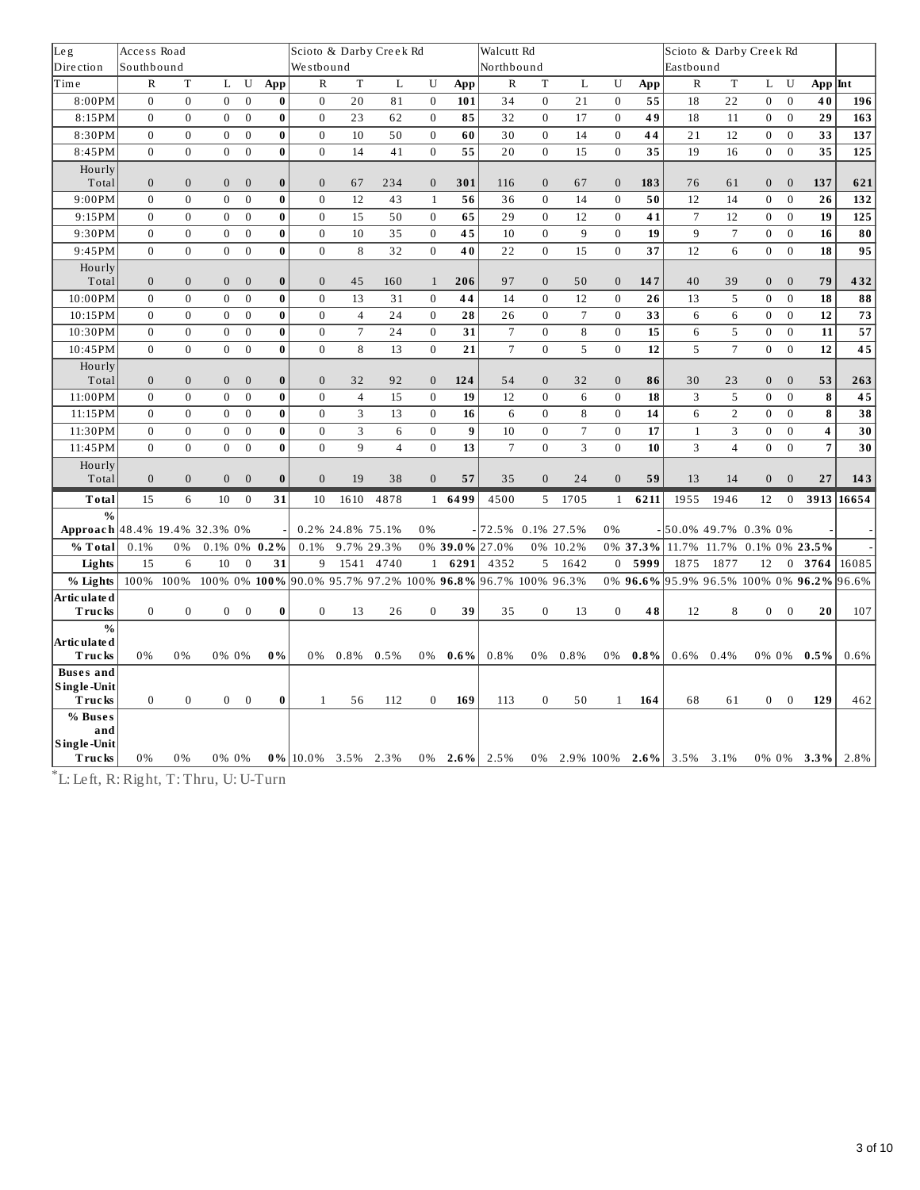| Leg                             | Access Road  |                  |                  |                  |              |                        |                  | Scioto & Darby Creek Rd |              |                  | Walcutt Rd                                                 |                  |                  | Scioto & Darby Creek Rd |            |                                 |                           |                  |                  |                |                       |
|---------------------------------|--------------|------------------|------------------|------------------|--------------|------------------------|------------------|-------------------------|--------------|------------------|------------------------------------------------------------|------------------|------------------|-------------------------|------------|---------------------------------|---------------------------|------------------|------------------|----------------|-----------------------|
| Dire ction                      | Southbound   |                  |                  |                  |              | Westbound              |                  |                         |              |                  | Northbound                                                 |                  |                  |                         |            | Eastbound                       |                           |                  |                  |                |                       |
| lTime                           | $\mathbb{R}$ | $\mathbf T$      | L                | U                | App          | $\mathbb{R}$           | $\mathbf T$      | L                       | U            | App              | $\mathbb{R}$                                               | $\mathbf T$      | $\mathbf{L}$     | U                       | App        | $\mathbb{R}$                    | $\mathbf T$               | L                | U                | $App$ Int      |                       |
| 8:00PM                          | $\mathbf{0}$ | $\mathbf{0}$     | $\boldsymbol{0}$ | $\boldsymbol{0}$ | 0            | $\mathbf{0}$           | 20               | 81                      | $\mathbf{0}$ | 101              | 34                                                         | $\boldsymbol{0}$ | 21               | $\boldsymbol{0}$        | 55         | 18                              | 22                        | $\overline{0}$   | $\boldsymbol{0}$ | 40             | 196                   |
| 8:15PM                          | $\mathbf{0}$ | $\mathbf{0}$     | $\boldsymbol{0}$ | $\bf{0}$         | $\bf{0}$     | $\mathbf{0}$           | 23               | 62                      | $\bf{0}$     | 85               | 32                                                         | $\bf{0}$         | 17               | $\mathbf{0}$            | 49         | 18                              | 11                        | 0                | $\bf{0}$         | 29             | 163                   |
| 8:30PM                          | $\mathbf{0}$ | $\mathbf{0}$     | $\mathbf{0}$     | $\mathbf{0}$     | $\bf{0}$     | $\mathbf{0}$           | 10               | 50                      | $\mathbf{0}$ | 60               | 30                                                         | $\mathbf{0}$     | 14               | $\mathbf{0}$            | 44         | 21                              | 12                        | $\mathbf{0}$     | $\mathbf{0}$     | 33             | 137                   |
| 8:45PM                          | $\Omega$     | $\mathbf{0}$     | $\mathbf{0}$     | $\mathbf{0}$     | $\bf{0}$     | $\mathbf{0}$           | 14               | 41                      | $\mathbf{0}$ | 55               | 20                                                         | $\mathbf{0}$     | 15               | $\mathbf{0}$            | 35         | 19                              | 16                        | $\overline{0}$   | $\mathbf{0}$     | 35             | 125                   |
| Hourly<br>Total                 | $\mathbf{0}$ | $\overline{0}$   | $\overline{0}$   | $\overline{0}$   | $\bf{0}$     | $\mathbf{0}$           | 67               | 234                     | $\mathbf{0}$ | 301              | 116                                                        | $\mathbf{0}$     | 67               | $\mathbf{0}$            | 183        | 76                              | 61                        | $\overline{0}$   | $\mathbf{0}$     | 137            | 621                   |
| 9:00PM                          | $\mathbf{0}$ | $\mathbf{0}$     | $\mathbf{0}$     | $\mathbf{0}$     | $\bf{0}$     | $\boldsymbol{0}$       | 12               | 43                      | $\mathbf{1}$ | 56               | 36                                                         | $\overline{0}$   | 14               | $\bf{0}$                | 50         | 12                              | 14                        | $\mathbf 0$      | $\mathbf{0}$     | 26             | 132                   |
| 9:15PM                          | $\mathbf{0}$ | $\mathbf{0}$     | $\mathbf{0}$     | $\mathbf{0}$     | $\bf{0}$     | $\mathbf{0}$           | 15               | 50                      | $\mathbf{0}$ | 65               | 29                                                         | $\mathbf{0}$     | 12               | $\mathbf{0}$            | 41         | $\overline{7}$                  | 12                        | $\overline{0}$   | $\mathbf{0}$     | 19             | 125                   |
| 9:30PM                          | $\mathbf{0}$ | $\mathbf{0}$     | $\mathbf{0}$     | $\mathbf{0}$     | $\bf{0}$     | $\boldsymbol{0}$       | 10               | 35                      | $\mathbf{0}$ | 45               | 10                                                         | $\mathbf{0}$     | 9                | $\mathbf{0}$            | 19         | 9                               | $\sqrt{ }$                | $\mathbf{0}$     | $\mathbf{0}$     | 16             | 80                    |
| 9:45PM                          | $\Omega$     | $\mathbf{0}$     | $\Omega$         | $\Omega$         | $\bf{0}$     | $\Omega$               | 8                | 32                      | $\Omega$     | 40               | 22                                                         | $\boldsymbol{0}$ | 15               | $\Omega$                | 37         | 12                              | 6                         | $\Omega$         | $\Omega$         | 18             | 95                    |
| Hourly                          |              |                  |                  |                  |              |                        |                  |                         |              |                  |                                                            |                  |                  |                         |            |                                 |                           |                  |                  |                |                       |
| Total                           | $\mathbf{0}$ | $\mathbf{0}$     | $\boldsymbol{0}$ | $\mathbf{0}$     | $\bf{0}$     | $\boldsymbol{0}$       | 45               | 160                     | 1            | 206              | 97                                                         | $\boldsymbol{0}$ | 50               | $\mathbf{0}$            | 147        | 40                              | 39                        | $\boldsymbol{0}$ | $\boldsymbol{0}$ | 79             | 432                   |
| 10:00PM                         | $\mathbf{0}$ | $\mathbf{0}$     | $\mathbf{0}$     | $\mathbf{0}$     | $\bf{0}$     | $\mathbf{0}$           | 13               | 31                      | $\mathbf{0}$ | 44               | 14                                                         | $\mathbf{0}$     | 12               | $\mathbf{0}$            | 26         | 13                              | 5                         | $\mathbf{0}$     | $\mathbf{0}$     | 18             | 88                    |
| 10:15PM                         | $\mathbf{0}$ | $\mathbf{0}$     | $\mathbf{0}$     | $\mathbf{0}$     | 0            | $\mathbf{0}$           | $\overline{4}$   | 24                      | $\mathbf{0}$ | 28               | 26                                                         | $\mathbf{0}$     | $\overline{7}$   | $\mathbf{0}$            | 33         | 6                               | 6                         | $\overline{0}$   | $\mathbf{0}$     | 12             | 73                    |
| 10:30PM                         | $\mathbf{0}$ | $\mathbf{0}$     | $\mathbf{0}$     | $\mathbf{0}$     | $\bf{0}$     | $\mathbf{0}$           | $\overline{7}$   | 24                      | $\mathbf{0}$ | 31               | $\overline{7}$                                             | $\mathbf{0}$     | 8                | $\mathbf{0}$            | 15         | 6                               | 5                         | $\overline{0}$   | $\mathbf{0}$     | 11             | 57                    |
| 10:45PM                         | $\mathbf{0}$ | $\boldsymbol{0}$ | $\boldsymbol{0}$ | $\boldsymbol{0}$ | $\bf{0}$     | $\bf{0}$               | 8                | 13                      | $\bf{0}$     | 21               | 7                                                          | $\mathbf{0}$     | 5                | $\boldsymbol{0}$        | 12         | 5                               | 7                         | $\overline{0}$   | $\mathbf{0}$     | 12             | 45                    |
| Hourly<br>Total                 | $\mathbf{0}$ | $\boldsymbol{0}$ | $\boldsymbol{0}$ | $\boldsymbol{0}$ | $\bf{0}$     | $\bf{0}$               | 32               | 92                      | $\mathbf{0}$ | 124              | 54                                                         | $\mathbf{0}$     | 32               | $\mathbf{0}$            | 86         | 30                              | 23                        | $\overline{0}$   | $\mathbf{0}$     | 53             | 263                   |
| 11:00PM                         | $\mathbf{0}$ | $\mathbf{0}$     | $\mathbf{0}$     | $\mathbf{0}$     | $\bf{0}$     | $\mathbf{0}$           | $\overline{4}$   | 15                      | $\mathbf{0}$ | 19               | 12                                                         | $\mathbf{0}$     | 6                | $\mathbf{0}$            | 18         | 3                               | 5                         | $\mathbf{0}$     | $\mathbf{0}$     | 8              | 45                    |
| 11:15PM                         | $\mathbf{0}$ | $\mathbf{0}$     | $\mathbf{0}$     | $\mathbf{0}$     | $\bf{0}$     | $\mathbf{0}$           | 3                | 13                      | $\mathbf{0}$ | 16               | 6                                                          | $\mathbf{0}$     | 8                | $\mathbf{0}$            | 14         | 6                               | $\overline{2}$            | $\overline{0}$   | $\mathbf{0}$     | 8              | 38                    |
| 11:30PM                         | $\Omega$     | $\mathbf{0}$     | $\mathbf{0}$     | $\mathbf{0}$     | $\bf{0}$     | $\mathbf{0}$           | 3                | 6                       | $\mathbf{0}$ | $\boldsymbol{9}$ | 10                                                         | $\mathbf{0}$     | $\boldsymbol{7}$ | $\mathbf{0}$            | 17         | $\mathbf{1}$                    | 3                         | $\overline{0}$   | $\mathbf{0}$     | 4              | 30                    |
| 11:45PM                         | $\mathbf{0}$ | $\boldsymbol{0}$ | $\overline{0}$   | $\mathbf{0}$     | $\bf{0}$     | $\mathbf{0}$           | 9                | $\overline{4}$          | $\mathbf{0}$ | 13               | $\overline{7}$                                             | $\overline{0}$   | 3                | $\overline{0}$          | 10         | 3                               | $\overline{4}$            | $\overline{0}$   | $\mathbf{0}$     | $\overline{7}$ | 30                    |
| Hourly                          |              |                  |                  |                  |              |                        |                  |                         |              |                  |                                                            |                  |                  |                         |            |                                 |                           |                  |                  |                |                       |
| Total                           | $\mathbf{0}$ | $\overline{0}$   | $\mathbf{0}$     | $\mathbf{0}$     | $\bf{0}$     | $\overline{0}$         | 19               | 38                      | $\mathbf{0}$ | 57               | 35                                                         | $\mathbf{0}$     | 24               | $\mathbf{0}$            | 59         | 13                              | 14                        | $\overline{0}$   | $\mathbf{0}$     | 27             | 143                   |
| <b>T</b> otal                   | 15           | 6                | 10               | $\mathbf{0}$     | 31           | 10                     | 1610             | 4878                    |              | 1 6499           | 4500                                                       |                  | 5 1705           | $\mathbf{1}$            | 6211       | 1955                            | 1946                      | 12               | $\overline{0}$   |                | 3913 16654            |
| $\frac{0}{0}$                   |              |                  |                  |                  |              |                        |                  |                         |              |                  |                                                            |                  |                  |                         |            |                                 |                           |                  |                  |                |                       |
| Approach 48.4% 19.4% 32.3% 0%   |              |                  |                  |                  |              |                        | 0.2% 24.8% 75.1% |                         | 0%           |                  | -72.5% 0.1% 27.5%                                          |                  |                  | 0%                      |            | 50.0% 49.7% 0.3% 0%             |                           |                  |                  |                |                       |
| % Total                         | 0.1%         | 0%               |                  |                  | 0.1% 0% 0.2% | 0.1%                   |                  | 9.7% 29.3%              |              |                  | 0% 39.0% 27.0%                                             |                  | 0% 10.2%         |                         | 0% 37.3%   |                                 | 11.7% 11.7% 0.1% 0% 23.5% |                  |                  |                |                       |
| Lights                          | 15           | 6                | 10               | $\mathbf{0}$     | 31           | 9                      | 1541             | 4740                    | $\mathbf{1}$ | 6291             | 4352                                                       | 5                | 1642             |                         | 0, 5999    | 1875                            | 1877                      | 12               | $\bf{0}$         | 3764           | 16085                 |
| % Lights                        |              | 100% 100%        |                  |                  |              |                        |                  |                         |              |                  | 100% 0% 100% 90.0% 95.7% 97.2% 100% 96.8% 96.7% 100% 96.3% |                  |                  |                         | 0% 96.6%   | 95.9% 96.5% 100% 0% 96.2% 96.6% |                           |                  |                  |                |                       |
| Artic ulate d<br><b>Trucks</b>  | $\mathbf{0}$ | $\mathbf{0}$     | $\mathbf{0}$     | $\mathbf{0}$     | $\bf{0}$     | $\mathbf{0}$           | 13               | 26                      | $\mathbf{0}$ | 39               | 35                                                         | $\mathbf{0}$     | 13               | $\Omega$                | 48         | 12                              | 8                         | $\overline{0}$   | $\mathbf{0}$     | 20             | 107                   |
| $\frac{0}{0}$                   |              |                  |                  |                  |              |                        |                  |                         |              |                  |                                                            |                  |                  |                         |            |                                 |                           |                  |                  |                |                       |
| Artic ulate d                   |              |                  |                  |                  |              |                        |                  |                         |              |                  |                                                            |                  |                  |                         |            |                                 |                           |                  |                  |                |                       |
| <b>Trucks</b>                   | 0%           | 0%               |                  | 0% 0%            | $0\%$        |                        | 0% 0.8% 0.5%     |                         |              | $0\%$ 0.6%       | 0.8%                                                       |                  | 0% 0.8%          |                         | $0\%$ 0.8% |                                 | $0.6\%$ 0.4%              |                  |                  | 0% 0% 0.5%     | 0.6%                  |
| <b>Buses</b> and<br>Single-Unit |              |                  |                  |                  |              |                        |                  |                         |              |                  |                                                            |                  |                  |                         |            |                                 |                           |                  |                  |                |                       |
| <b>Trucks</b>                   | $\mathbf{0}$ | $\mathbf{0}$     | $\overline{0}$   | $\mathbf{0}$     | $\bf{0}$     | $\mathbf{1}$           | 56               | 112                     | $\mathbf{0}$ | 169              | 113                                                        | $\mathbf{0}$     | 50               | 1                       | 164        | 68                              | 61                        | $\overline{0}$   | $\bf{0}$         | 129            | 462                   |
| % Buses                         |              |                  |                  |                  |              |                        |                  |                         |              |                  |                                                            |                  |                  |                         |            |                                 |                           |                  |                  |                |                       |
| and                             |              |                  |                  |                  |              |                        |                  |                         |              |                  |                                                            |                  |                  |                         |            |                                 |                           |                  |                  |                |                       |
| Single-Unit                     |              |                  |                  |                  |              |                        |                  |                         |              |                  |                                                            |                  |                  |                         |            |                                 |                           |                  |                  |                |                       |
| <b>Trucks</b>                   | 0%           | 0%               | 0% 0%            |                  |              | $0\%$  10.0% 3.5% 2.3% |                  |                         |              |                  | $0\%$ 2.6% 2.5%                                            |                  |                  |                         |            | 0% 2.9% 100% 2.6% 3.5% 3.1%     |                           |                  |                  |                | $0\%$ 0\% 3.3\% 2.8\% |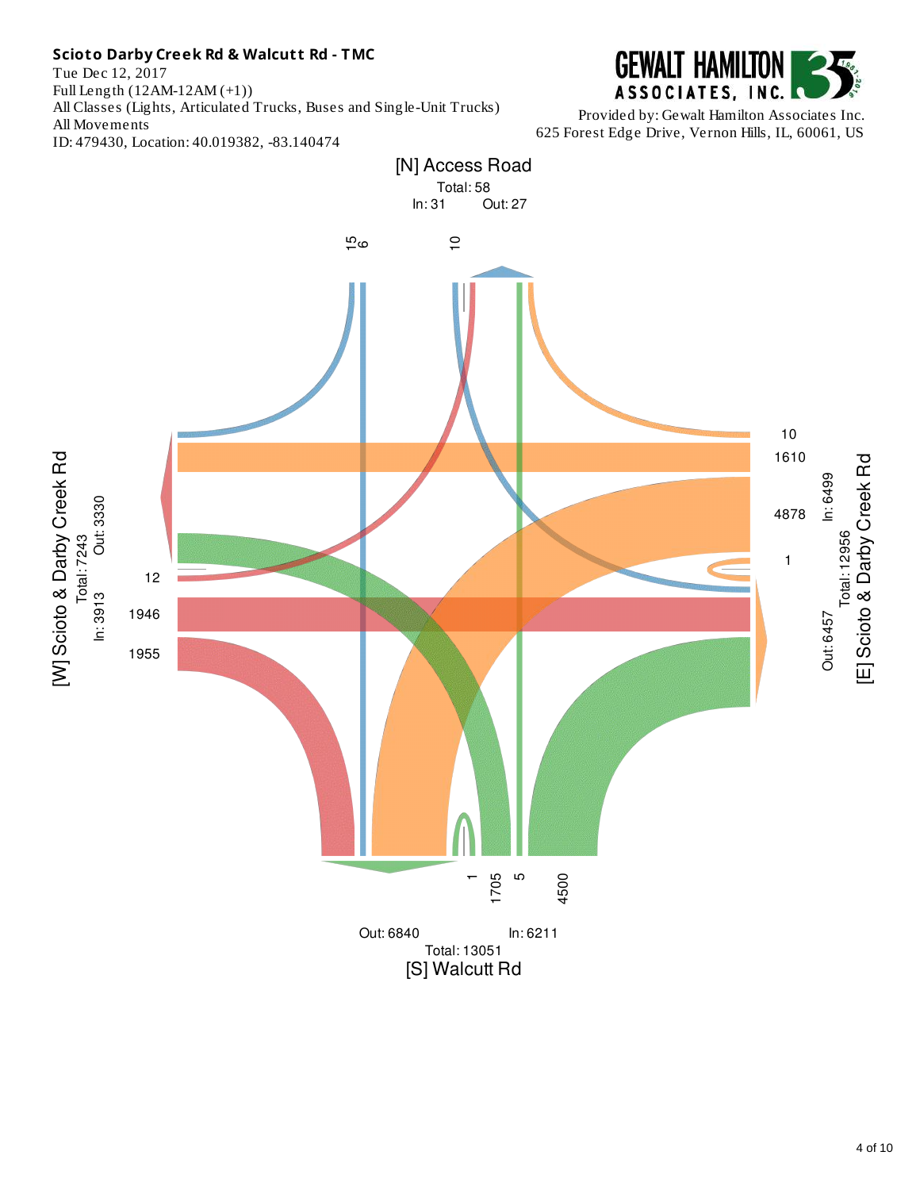Tue Dec 12, 2017 Full Length (12AM-12AM (+1)) All Classes (Lights, Articulated Trucks, Buses and Single-Unit Trucks) All Movements ID: 479430, Location: 40.019382, -83.140474



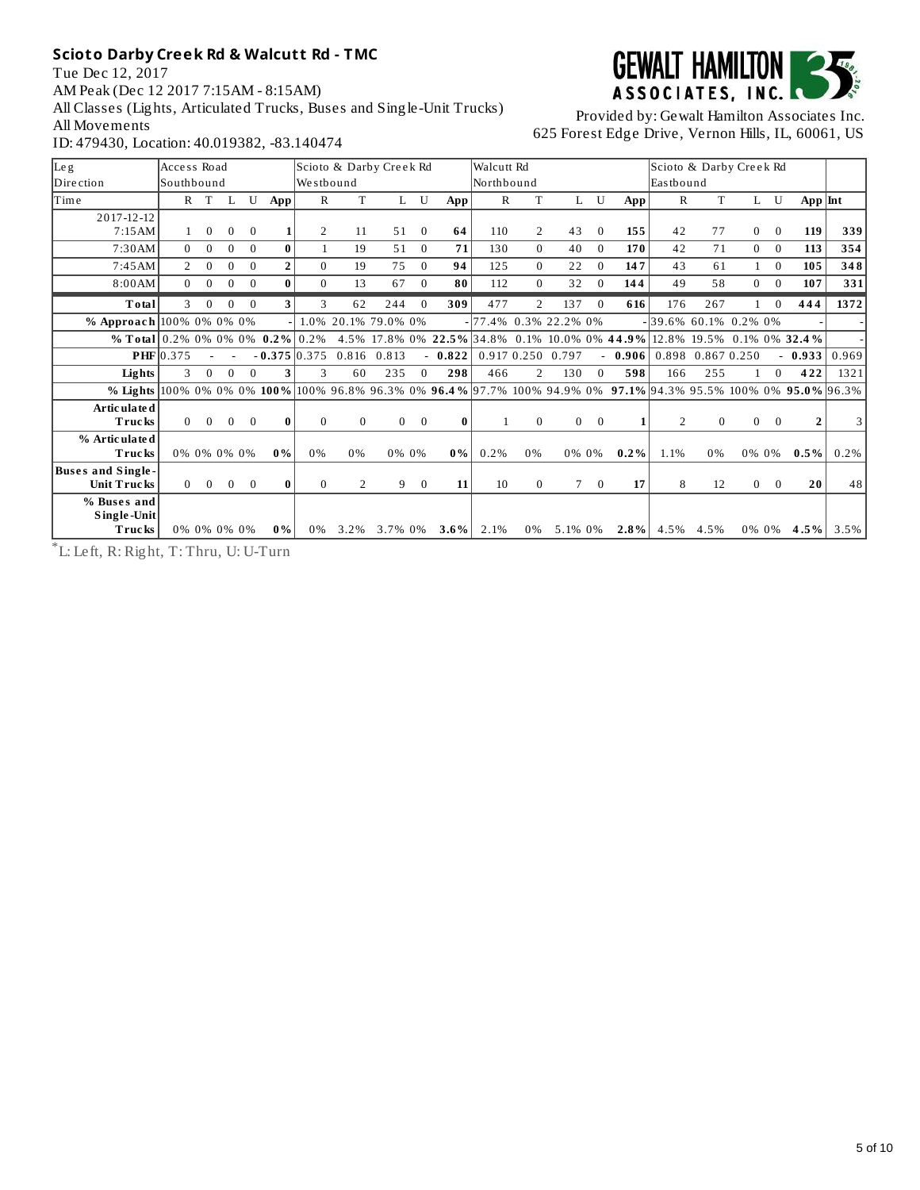Tue Dec 12, 2017 AM Peak (Dec 12 2017 7:15AM - 8:15AM) All Classes (Lights, Articulated Trucks, Buses and Single-Unit Trucks) All Movements ID: 479430, Location: 40.019382, -83.140474



Provided by: Gewalt Hamilton Associates Inc. 625 Forest Edge Drive, Vernon Hills, IL, 60061, US

| Leg                                                                                                             | Access Road  |             |          |          |                |                | Scioto & Darby Creek Rd |                |                |          | Walcutt Rd            |                |                   |             |                            | Scioto & Darby Creek Rd  |              |                |              |                                                                         |         |
|-----------------------------------------------------------------------------------------------------------------|--------------|-------------|----------|----------|----------------|----------------|-------------------------|----------------|----------------|----------|-----------------------|----------------|-------------------|-------------|----------------------------|--------------------------|--------------|----------------|--------------|-------------------------------------------------------------------------|---------|
| Dire ction                                                                                                      | Southbound   |             |          |          |                | Westbound      |                         |                |                |          | Northbound            |                |                   |             |                            | Eastbound                |              |                |              |                                                                         |         |
| Time                                                                                                            | $\mathbf{R}$ | T           |          | U        | App            | R              | T                       | L              | U              | App      | $\mathbb{R}$          | T              | L                 | U           | App                        | R                        | T            | L              | U            | $App$  Int                                                              |         |
| 2017-12-12                                                                                                      |              |             |          |          |                |                |                         |                |                |          |                       |                |                   |             |                            |                          |              |                |              |                                                                         |         |
| 7:15AM                                                                                                          |              | $\Omega$    | $\Omega$ | $\Omega$ |                | 2              | 11                      | 51             | $\Omega$       | 64       | 110                   | 2              | 43                | $\Omega$    | 155                        | 42                       | 77           | $\Omega$       | $\Omega$     | 119                                                                     | 339     |
| 7:30 AM                                                                                                         | $\Omega$     | $\Omega$    | $\Omega$ | $\Omega$ | 0              |                | 19                      | 51             | $\mathbf{0}$   | 71       | 130                   | $\Omega$       | 40                | $\Omega$    | 170                        | 42                       | 71           | $\Omega$       | $\Omega$     | 113                                                                     | 354     |
| 7:45AM                                                                                                          | 2            | $\Omega$    | $\Omega$ | $\Omega$ | $\overline{2}$ | 0              | 19                      | 75             | $\Omega$       | 94       | 125                   | $\Omega$       | 22                | $\Omega$    | 147                        | 43                       | 61           | $\mathbf{1}$   | $\Omega$     | 105                                                                     | 348     |
| 8:00AM                                                                                                          | $\Omega$     | $\Omega$    | $\Omega$ | $\Omega$ | 0              | $\Omega$       | 13                      | 67             | $\Omega$       | 80       | 112                   | $\Omega$       | 32                | $\Omega$    | 144                        | 49                       | 58           | $\Omega$       | $\Omega$     | 107                                                                     | 331     |
| Total                                                                                                           | 3            | $\Omega$    | $\Omega$ | $\theta$ | 3              | 3              | 62                      | 244            | $\theta$       | 309      | 477                   | $\overline{2}$ | 137               | $\Omega$    | 616                        | 176                      | 267          |                | $\Omega$     | 444                                                                     | 1372    |
| % Approach 100% 0% 0% 0%                                                                                        |              |             |          |          |                |                | 1.0% 20.1% 79.0% 0%     |                |                |          | - 77.4% 0.3% 22.2% 0% |                |                   |             |                            | $-139.6\%$ 60.1% 0.2% 0% |              |                |              |                                                                         |         |
| % Total 0.2% 0% 0% 0% 0.2% 0.2%                                                                                 |              |             |          |          |                |                |                         |                |                |          |                       |                |                   |             |                            |                          |              |                |              | 4.5% 17.8% 0% 22.5% 34.8% 0.1% 10.0% 0% 44.9% 12.8% 19.5% 0.1% 0% 32.4% |         |
|                                                                                                                 | $PHF$ 0.375  |             |          |          |                |                | $-0.375$ 0.375 0.816    | 0.813          |                | $-0.822$ |                       |                | 0.917 0.250 0.797 |             | $-0.906$ 0.898 0.867 0.250 |                          |              |                |              | $-0.933$                                                                | 0.969   |
| Lights                                                                                                          | 3            | $\Omega$    | $\Omega$ | $\Omega$ | 3              | 3              | 60                      | 235            | $\Omega$       | 298      | 466                   | 2              | 130               | $\Omega$    | 598                        | 166                      | 255          |                | $\Omega$     | 422                                                                     | 1321    |
| % Lights 100% 0% 0% 0% 100% 100% 96.8% 96.3% 0% 96.4% 97.7% 100% 94.9% 0% 97.1% 94.3% 95.5% 100% 0% 95.0% 96.3% |              |             |          |          |                |                |                         |                |                |          |                       |                |                   |             |                            |                          |              |                |              |                                                                         |         |
| Artic ulate d                                                                                                   |              |             |          |          |                |                |                         |                |                |          |                       |                |                   |             |                            |                          |              |                |              |                                                                         |         |
| Trucks                                                                                                          | $\Omega$     | $\Omega$    | $\Omega$ | $\Omega$ | $\bf{0}$       | $\Omega$       | $\mathbf{0}$            | $\overline{0}$ | $\overline{0}$ |          |                       | $\Omega$       |                   | $0\qquad 0$ |                            | 2                        | $\mathbf{0}$ | $\overline{0}$ | $\Omega$     | $\overline{2}$                                                          | 31      |
| % Articulated                                                                                                   |              |             |          |          |                |                |                         |                |                |          |                       |                |                   |             |                            |                          |              |                |              |                                                                         |         |
| <b>Trucks</b>                                                                                                   |              | 0% 0% 0% 0% |          |          | $0\%$          | 0%             | 0%                      |                | 0% 0%          | $0\%$    | 0.2%                  | 0%             |                   | 0% 0%       | $0.2\%$                    | 1.1%                     | 0%           |                | 0% 0%        | $0.5\%$                                                                 | $0.2\%$ |
| <b>Buses and Single-</b>                                                                                        |              |             |          |          |                |                |                         |                |                |          |                       |                |                   |             |                            |                          |              |                |              |                                                                         |         |
| Unit Trucks                                                                                                     | $\Omega$     | $\Omega$    | $\Omega$ | $\Omega$ | 0              | $\overline{0}$ | 2                       | 9              | $\mathbf{0}$   | 11       | 10                    | $\overline{0}$ |                   | $7\quad 0$  | 17                         | 8                        | 12           | $\overline{0}$ | $\mathbf{0}$ | 20                                                                      | 48      |
| % Buses and                                                                                                     |              |             |          |          |                |                |                         |                |                |          |                       |                |                   |             |                            |                          |              |                |              |                                                                         |         |
| Single-Unit<br><b>Trucks</b>                                                                                    |              | 0% 0% 0% 0% |          |          | $0\%$          | 0%             | 3.2%                    | 3.7% 0%        |                | $3.6\%$  | 2.1%                  | 0%             | 5.1% 0%           |             | $2.8\%$                    | 4.5%                     | 4.5%         |                | 0% 0%        | 4.5%                                                                    | 3.5%    |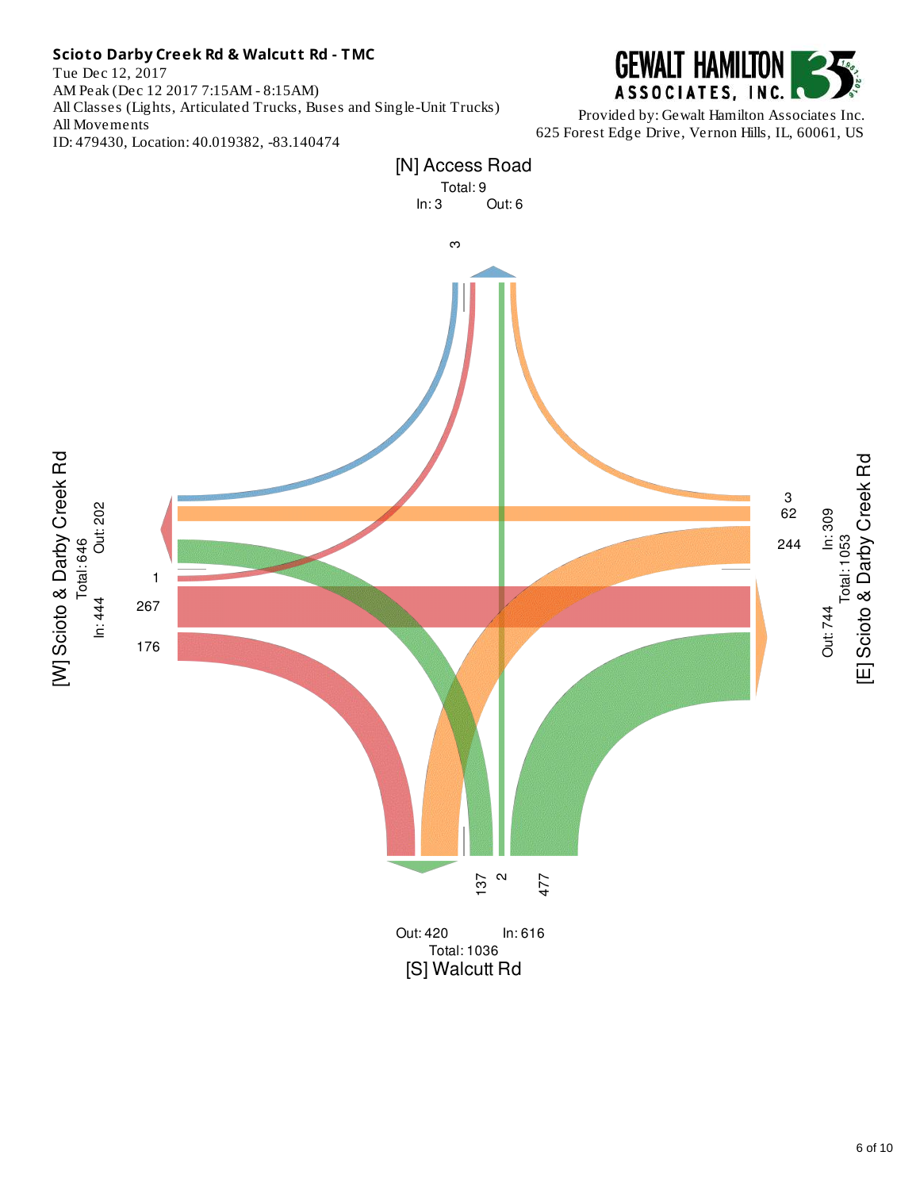Tue Dec 12, 2017 AM Peak (Dec 12 2017 7:15AM - 8:15AM) All Classes (Lights, Articulated Trucks, Buses and Single-Unit Trucks) All Movements ID: 479430, Location: 40.019382, -83.140474



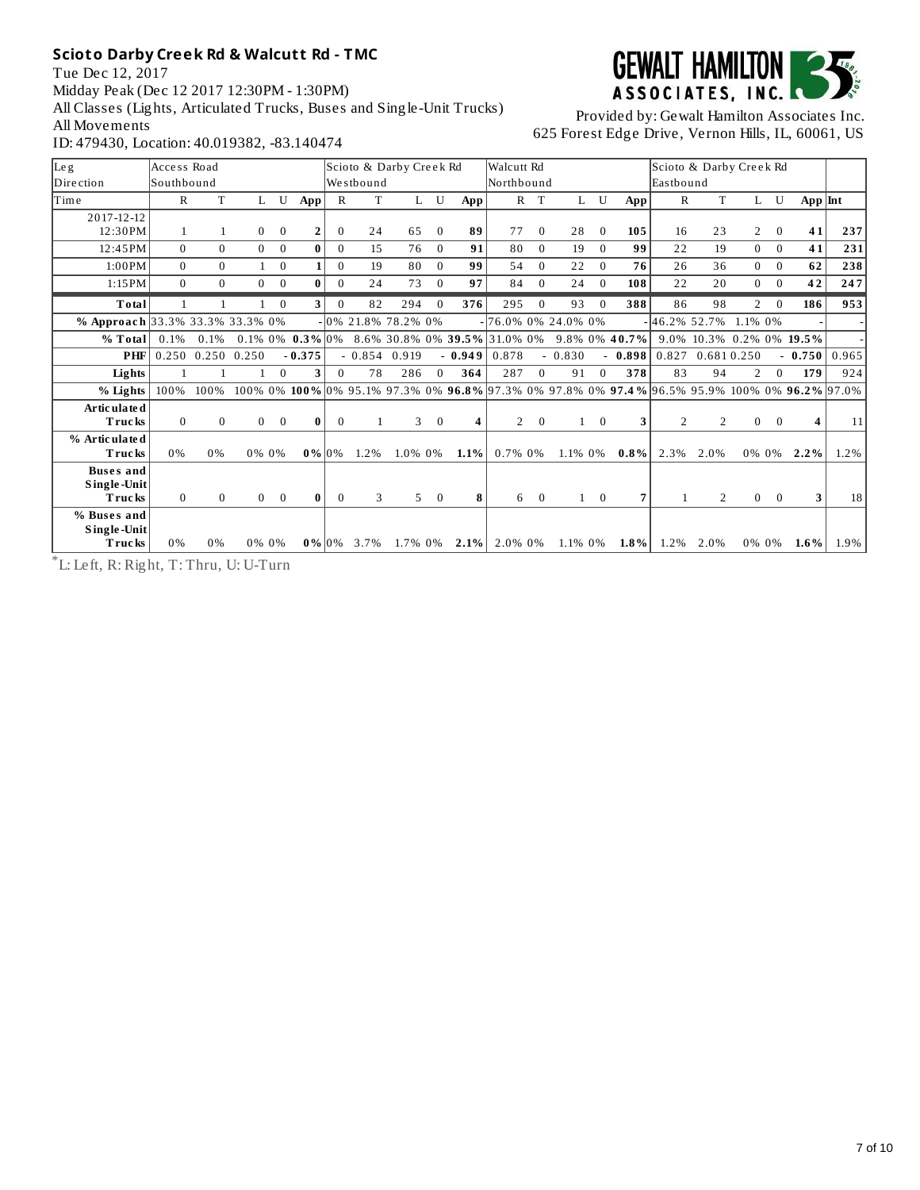Tue Dec 12, 2017 Midday Peak (Dec 12 2017 12:30PM - 1:30PM) All Classes (Lights, Articulated Trucks, Buses and Single-Unit Trucks) All Movements ID: 479430, Location: 40.019382, -83.140474



Provided by: Gewalt Hamilton Associates Inc. 625 Forest Edge Drive, Vernon Hills, IL, 60061, US

| Leg                             | Access Road  |              |                |                |                       |              |                | Scioto & Darby Creek Rd |                |          | Walcutt Rd                   |              |              |                |                  | Scioto & Darby Creek Rd |                |                |                |                                                                                              |       |
|---------------------------------|--------------|--------------|----------------|----------------|-----------------------|--------------|----------------|-------------------------|----------------|----------|------------------------------|--------------|--------------|----------------|------------------|-------------------------|----------------|----------------|----------------|----------------------------------------------------------------------------------------------|-------|
| Dire ction                      | lSouthbound  |              |                |                |                       |              | Westbound      |                         |                |          | Northbound                   |              |              |                |                  | <b>Easthound</b>        |                |                |                |                                                                                              |       |
| Time                            | R            | T            | L              | U              | App                   | $\mathbb{R}$ | T              | L                       | U              | App!     |                              | $R$ T        | L            | U              | App!             | $\mathbb{R}$            | T              |                | L U            | $App$ Int                                                                                    |       |
| 2017-12-12                      |              |              |                |                |                       |              |                |                         |                |          |                              |              |              |                |                  |                         |                |                |                |                                                                                              |       |
| 12:30 PM                        | 1            | 1            | $\overline{0}$ | $\mathbf{0}$   | 2                     | $\mathbf{0}$ | 24             | 65                      | $\mathbf{0}$   | 89       | 77                           | $\Omega$     | 28           | $\Omega$       | 105              | 16                      | 23             | $\overline{2}$ | $\mathbf{0}$   | 41                                                                                           | 237   |
| 12:45PM                         | $\Omega$     | $\Omega$     | $\overline{0}$ | $\mathbf{0}$   | $\bf{0}$              | $\Omega$     | 15             | 76                      | $\Omega$       | 91       | 80                           | $\Omega$     | 19           | $\Omega$       | 99               | 22                      | 19             | $\overline{0}$ | $\theta$       | 41                                                                                           | 231   |
| 1:00PM                          | $\Omega$     | $\Omega$     | $\mathbf{1}$   | $\mathbf{0}$   | 1                     | $\Omega$     | 19             | 80                      | $\Omega$       | 99       | 54                           | $\Omega$     | 22           | $\Omega$       | 76               | 26                      | 36             | $\theta$       | $\Omega$       | 62                                                                                           | 238   |
| 1:15PM                          | $\Omega$     | $\Omega$     | $\Omega$       | $\Omega$       | $\bf{0}$              | $\Omega$     | 24             | 73                      | $\Omega$       | 97       | 84                           | $\Omega$     | 24           | $\Omega$       | 108              | 22                      | 20             | $\theta$       | $\theta$       | 42                                                                                           | 247   |
| Total                           | $\mathbf{1}$ |              |                | $\mathbf{0}$   | 3                     | $\Omega$     | 82             | 294                     | $\Omega$       | 376      | 295                          | $\Omega$     | 93           | $\Omega$       | 388              | 86                      | 98             | $\overline{2}$ | $\overline{0}$ | 186                                                                                          | 953   |
| % Approach 33.3% 33.3% 33.3% 0% |              |              |                |                |                       |              |                | 0% 21.8% 78.2% 0%       |                |          | $-76.0\%$ 0% 24.0% 0%        |              |              |                |                  | $-46.2\%$ 52.7%         |                | 1.1% 0%        |                |                                                                                              |       |
| % Total                         | 0.1%         | 0.1%         |                |                | $0.1\%$ 0% $0.3\%$ 0% |              |                |                         |                |          | 8.6% 30.8% 0% 39.5% 31.0% 0% |              |              |                | $9.8\%$ 0% 40.7% |                         |                |                |                | 9.0% 10.3% 0.2% 0% 19.5%                                                                     |       |
| <b>PHF</b>                      | 0.250        | 0.250        | 0.250          |                | $-0.375$              |              | $-0.854$ 0.919 |                         |                | $-0.949$ | 0.878                        |              | $-0.830$     |                | $-0.898$         | 0.827                   |                | 0.6810.250     |                | $-0.750$                                                                                     | 0.965 |
| Lights                          | $\mathbf{1}$ | $\mathbf{1}$ |                | $\Omega$       | 3                     | $\Omega$     | 78             | 286                     | $\Omega$       | 364      | 287                          | $\Omega$     | 91           | $\Omega$       | 378              | 83                      | 94             | $\mathcal{P}$  | $\Omega$       | 179                                                                                          | 924   |
| % Lights                        | 100%         | 100%         |                |                |                       |              |                |                         |                |          |                              |              |              |                |                  |                         |                |                |                | 100% 0% 100% 0% 95.1% 97.3% 0% 96.8% 97.3% 0% 97.8% 0% 97.4% 96.5% 95.9% 100% 0% 96.2% 97.0% |       |
| Articulate d                    |              |              |                |                |                       |              |                |                         |                |          |                              |              |              |                |                  |                         |                |                |                |                                                                                              |       |
| <b>Trucks</b>                   | $\Omega$     | $\theta$     | $\overline{0}$ | $\overline{0}$ | 0                     | $\bf{0}$     | $\mathbf{1}$   | 3                       | $\Omega$       | 4        | $\overline{2}$               | $\mathbf{0}$ | $\mathbf{1}$ | $\overline{0}$ | 3                | 2                       | 2              | $\mathbf{0}$   | $\Omega$       |                                                                                              | 11    |
| % Articulated<br>Trucks         | 0%           | 0%           |                | 0% 0%          | $0\%$ 0%              |              | $1.2\%$        | 1.0% 0%                 |                | $1.1\%$  | 0.7% 0%                      |              | 1.1% 0%      |                | $0.8\%$          | 2.3%                    | 2.0%           | 0% 0%          |                | $2.2\%$                                                                                      | 1.2%  |
| <b>Buses</b> and                |              |              |                |                |                       |              |                |                         |                |          |                              |              |              |                |                  |                         |                |                |                |                                                                                              |       |
| Single-Unit                     |              |              |                |                |                       |              |                |                         |                |          |                              |              |              |                |                  |                         |                |                |                |                                                                                              |       |
| <b>Trucks</b>                   | $\Omega$     | $\Omega$     | $\overline{0}$ | $\theta$       | $\bf{0}$              | $\Omega$     | 3              | 5                       | $\overline{0}$ | 8        | 6                            | $\mathbf{0}$ |              | $1 \quad 0$    | 7                | $\mathbf{1}$            | $\overline{2}$ | $\overline{0}$ | $\overline{0}$ | 3                                                                                            | 18    |
| % Buses and                     |              |              |                |                |                       |              |                |                         |                |          |                              |              |              |                |                  |                         |                |                |                |                                                                                              |       |
| Single-Unit<br><b>Trucks</b>    | 0%           | 0%           |                | 0% 0%          | $0\%$ 10%             |              | 3.7%           | 1.7% 0%                 |                |          | $2.1\%$ 2.0% 0%              |              | 1.1% 0%      |                | $1.8\%$          | 1.2%                    | 2.0%           | 0% 0%          |                | $1.6\%$                                                                                      | 1.9%  |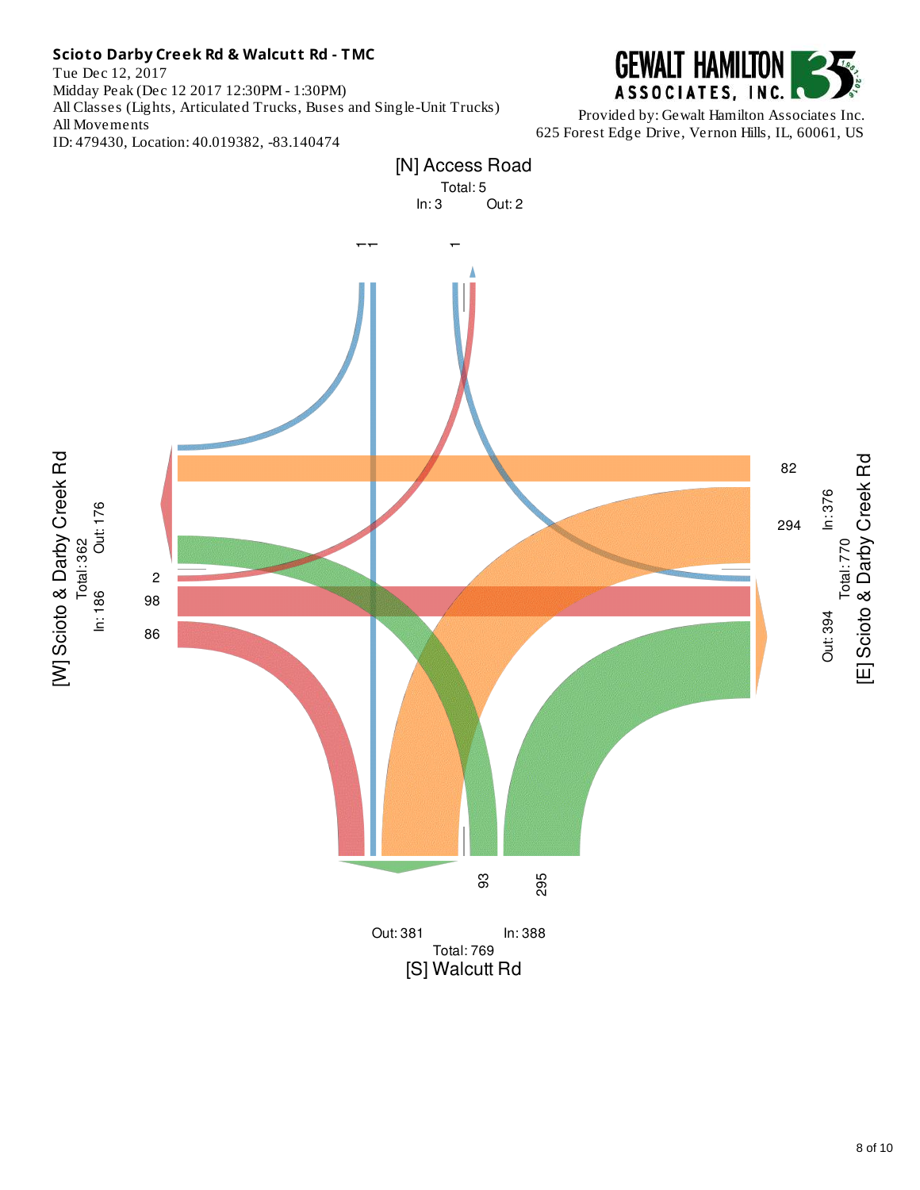Tue Dec 12, 2017 Midday Peak (Dec 12 2017 12:30PM - 1:30PM) All Classes (Lights, Articulated Trucks, Buses and Single-Unit Trucks) All Movements ID: 479430, Location: 40.019382, -83.140474



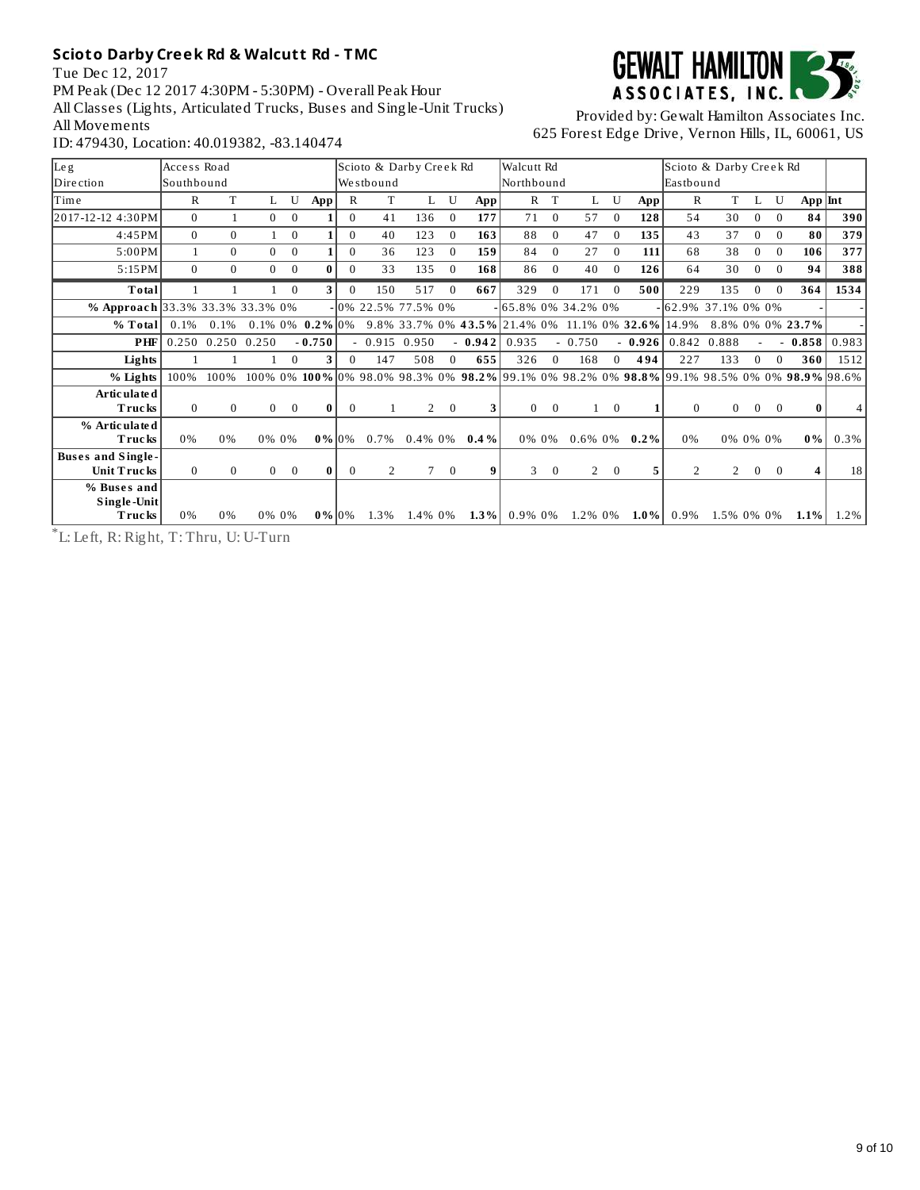Tue Dec 12, 2017 PM Peak (Dec 12 2017 4:30PM - 5:30PM) - Overall Peak Hour All Classes (Lights, Articulated Trucks, Buses and Single-Unit Trucks) All Movements ID: 479430, Location: 40.019382, -83.140474



Provided by: Gewalt Hamilton Associates Inc. 625 Forest Edge Drive, Vernon Hills, IL, 60061, US

| Leg                                            | Access Road  |             |                |                |                    |              | Scioto & Darby Creek Rd |                |          |                                                                                                     | Walcutt Rd        |                |                       |                |          | Scioto & Darby Creek Rd |                |          |          |                  |                 |
|------------------------------------------------|--------------|-------------|----------------|----------------|--------------------|--------------|-------------------------|----------------|----------|-----------------------------------------------------------------------------------------------------|-------------------|----------------|-----------------------|----------------|----------|-------------------------|----------------|----------|----------|------------------|-----------------|
| Direction                                      | Southbound   |             |                |                |                    |              | Westbound               |                |          |                                                                                                     | <b>Northbound</b> |                |                       |                |          | Eastbound               |                |          |          |                  |                 |
| <b>Time</b>                                    | R            | T           | L              | U              | App                | $\mathbb{R}$ | T                       | Ι.             | U        | App                                                                                                 | $\mathbb{R}$      | T              | L                     | U              | App      | $\mathbb{R}$            | T              |          | U        | App Int          |                 |
| 2017-12-12 4:30PM                              | $\Omega$     |             | $\overline{0}$ | $\theta$       |                    | $\Omega$     | 41                      | 136            | $\bf{0}$ | 177                                                                                                 | 71                | $\Omega$       | 57                    | $\Omega$       | 128      | 54                      | 30             | $\theta$ | $\Omega$ | 84               | 390             |
| 4:45PM                                         | $\Omega$     | $\Omega$    |                | $\overline{0}$ |                    | $\Omega$     | 40                      | 123            | $\Omega$ | 163                                                                                                 | 88                | $\Omega$       | 47                    | $\Omega$       | 135      | 43                      | 37             | $\Omega$ | $\Omega$ | 80               | 379             |
| 5:00PM                                         | $\mathbf{1}$ | $\Omega$    | $\Omega$       | $\theta$       |                    | $\Omega$     | 36                      | 123            | $\Omega$ | 159                                                                                                 | 84                | $\Omega$       | 27                    | $\Omega$       | 111      | 68                      | 38             | $\Omega$ | $\Omega$ | 106              | 377             |
| 5:15PM                                         | $\Omega$     | $\Omega$    | $\Omega$       | $\Omega$       | 0                  | $\Omega$     | 33                      | 135            | $\Omega$ | 168                                                                                                 | 86                | $\Omega$       | 40                    | $\Omega$       | 126      | 64                      | 30             | $\Omega$ | $\Omega$ | 94               | 388             |
| Total                                          |              |             |                | $\theta$       | 3                  |              | 150                     | 517            |          | 667                                                                                                 | 329               | $\theta$       | 171                   |                | 500      | 229                     | 135            | $\Omega$ | $\Omega$ | 364              | 1534            |
| % Approach 33.3% 33.3% 33.3% 0%                |              |             |                |                |                    |              | $-0\%$ 22.5% 77.5% 0%   |                |          |                                                                                                     |                   |                | $-65.8\%$ 0% 34.2% 0% |                |          | - 62.9% 37.1% 0% 0%     |                |          |          |                  |                 |
| % Total                                        | 0.1%         | 0.1%        |                |                | $0.1\%$ 0% 0.2% 0% |              |                         |                |          | 9.8% 33.7% 0% 43.5% 21.4% 0% 11.1% 0% 32.6% 14.9%                                                   |                   |                |                       |                |          |                         |                |          |          | 8.8% 0% 0% 23.7% |                 |
| PHF                                            |              | 0.250 0.250 | 0.250          |                | $-0.750$           |              | $-0.915$ 0.950          |                |          | $-0.942$                                                                                            | 0.935             |                | $-0.750$              |                | $-0.926$ |                         | 0.842 0.888    |          |          | $-0.858$         | 0.983           |
| Lights                                         | $\mathbf{1}$ |             |                | $\Omega$       | 3                  | $\Omega$     | 147                     | 508            | $\Omega$ | 655                                                                                                 | 326               | $\Omega$       | 168                   | $\Omega$       | 494      | 227                     | 133            | $\Omega$ | $\Omega$ | 360              | 1512            |
| % Lights                                       | 100%         | 100%        |                |                |                    |              |                         |                |          | $100\%$ 0% $100\%$ 0% $98.0\%$ 98.3% 0% 98.2% 99.1% 0% 98.2% 0% 98.8% 99.1% 98.5% 0% 0% 98.9% 98.6% |                   |                |                       |                |          |                         |                |          |          |                  |                 |
| Articulate d<br>Trucks                         | $\Omega$     | $\Omega$    | $\Omega$       | $\overline{0}$ | 0                  | $\Omega$     | $\mathbf{1}$            | $\overline{2}$ | $\Omega$ | 3                                                                                                   |                   | $0\qquad 0$    | $\mathbf{1}$          | $\overline{0}$ |          | $\Omega$                | $\Omega$       | $\theta$ | $\theta$ | $\bf{0}$         |                 |
| % Articulated<br>Trucks                        | 0%           | 0%          | 0% 0%          |                | $0\%$ 0%           |              | 0.7%                    | $0.4\%$ 0%     |          | $0.4\%$                                                                                             | 0% 0%             |                | 0.6% 0%               |                | 0.2%     | 0%                      |                | 0% 0% 0% |          | $0\%$            | 0.3%            |
| <b>Buses and Single-</b><br><b>Unit Trucks</b> | $\Omega$     | $\Omega$    |                | $0 \quad 0$    | 0                  | $\Omega$     | 2                       | $7^{\circ}$    | $\theta$ | 9                                                                                                   | 3 <sup>3</sup>    | $\overline{0}$ | $\overline{2}$        | $\overline{0}$ |          | $\overline{2}$          | $\overline{2}$ | $\Omega$ | $\Omega$ |                  | 18 <sup>1</sup> |
| % Buses and<br>Single-Unit<br>Trucks           | 0%           | 0%          | 0% 0%          |                | $0\%$ 0%           |              | 1.3%                    | 1.4% 0%        |          | $1.3\%$                                                                                             | 0.9% 0%           |                | 1.2% 0%               |                | $1.0\%$  | 0.9%                    | 1.5% 0% 0%     |          |          | $1.1\%$          | $1.2\%$         |